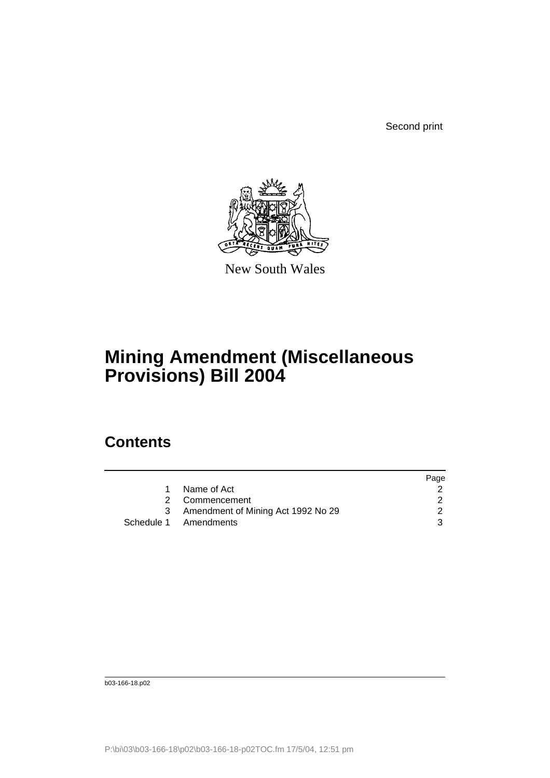Second print



New South Wales

# **Mining Amendment (Miscellaneous Provisions) Bill 2004**

## **Contents**

|           |                                    | Page |
|-----------|------------------------------------|------|
| $1 \quad$ | Name of Act                        |      |
|           | 2 Commencement                     |      |
|           | Amendment of Mining Act 1992 No 29 |      |
|           | Schedule 1 Amendments              | 3    |

b03-166-18.p02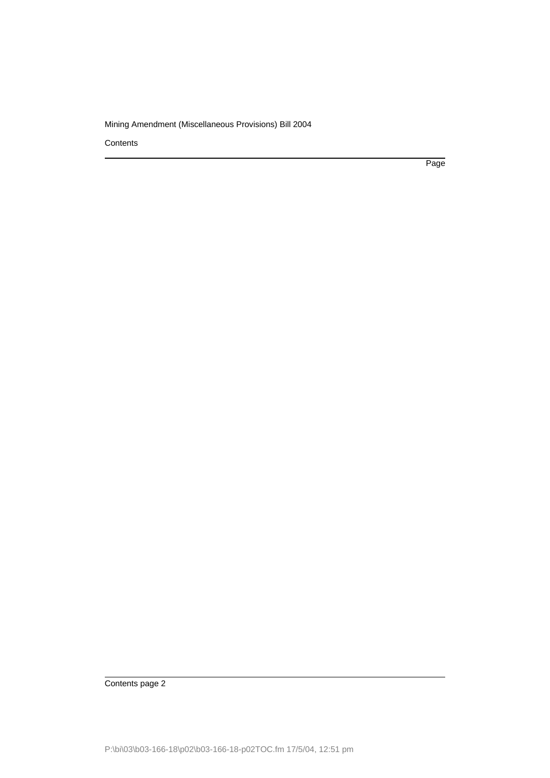**Contents** 

Page

Contents page 2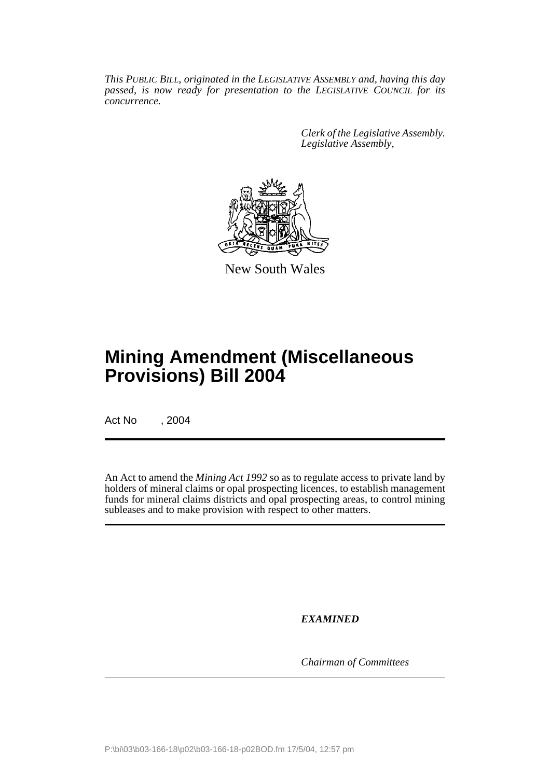*This PUBLIC BILL, originated in the LEGISLATIVE ASSEMBLY and, having this day passed, is now ready for presentation to the LEGISLATIVE COUNCIL for its concurrence.*

> *Clerk of the Legislative Assembly. Legislative Assembly,*



New South Wales

## **Mining Amendment (Miscellaneous Provisions) Bill 2004**

Act No , 2004

An Act to amend the *Mining Act 1992* so as to regulate access to private land by holders of mineral claims or opal prospecting licences, to establish management funds for mineral claims districts and opal prospecting areas, to control mining subleases and to make provision with respect to other matters.

*EXAMINED*

*Chairman of Committees*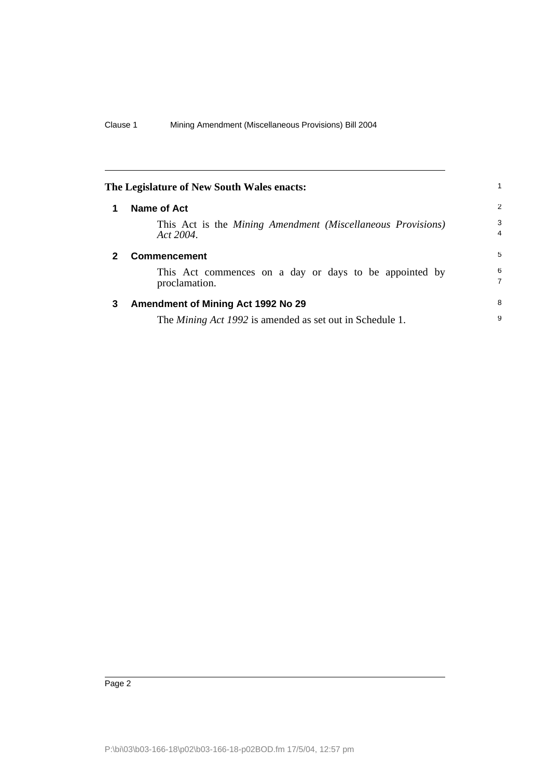<span id="page-3-2"></span><span id="page-3-1"></span><span id="page-3-0"></span>

| The Legislature of New South Wales enacts: |                                                                          |                     |  |
|--------------------------------------------|--------------------------------------------------------------------------|---------------------|--|
| 1                                          | Name of Act                                                              | 2                   |  |
|                                            | This Act is the Mining Amendment (Miscellaneous Provisions)<br>Act 2004. | 3<br>4              |  |
| $\mathbf{2}$                               | <b>Commencement</b>                                                      | 5                   |  |
|                                            | This Act commences on a day or days to be appointed by<br>proclamation.  | 6<br>$\overline{7}$ |  |
| 3                                          | Amendment of Mining Act 1992 No 29                                       | 8                   |  |
|                                            | The <i>Mining Act 1992</i> is amended as set out in Schedule 1.          | 9                   |  |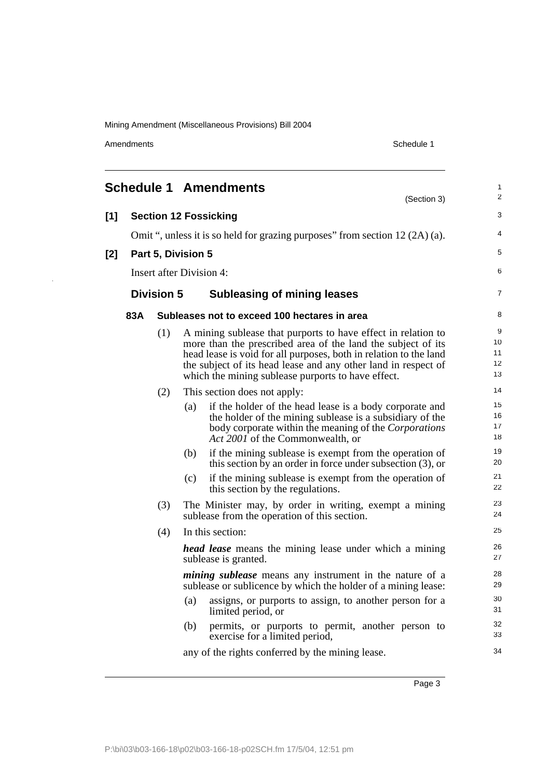Amendments Schedule 1

 $\bar{z}$ 

<span id="page-4-0"></span>

|     |     |                    |     | <b>Schedule 1 Amendments</b><br>(Section 3)                                                                                                                                                                                                                                                                                | $\mathbf{1}$<br>$\overline{2}$ |
|-----|-----|--------------------|-----|----------------------------------------------------------------------------------------------------------------------------------------------------------------------------------------------------------------------------------------------------------------------------------------------------------------------------|--------------------------------|
| [1] |     |                    |     | <b>Section 12 Fossicking</b>                                                                                                                                                                                                                                                                                               | 3                              |
|     |     |                    |     | Omit ", unless it is so held for grazing purposes" from section $12(2A)(a)$ .                                                                                                                                                                                                                                              | 4                              |
| [2] |     | Part 5, Division 5 |     |                                                                                                                                                                                                                                                                                                                            | 5                              |
|     |     |                    |     | <b>Insert after Division 4:</b>                                                                                                                                                                                                                                                                                            | 6                              |
|     |     |                    |     |                                                                                                                                                                                                                                                                                                                            |                                |
|     |     | <b>Division 5</b>  |     | <b>Subleasing of mining leases</b>                                                                                                                                                                                                                                                                                         | $\overline{7}$                 |
|     | 83A |                    |     | Subleases not to exceed 100 hectares in area                                                                                                                                                                                                                                                                               | 8                              |
|     |     | (1)                |     | A mining sublease that purports to have effect in relation to<br>more than the prescribed area of the land the subject of its<br>head lease is void for all purposes, both in relation to the land<br>the subject of its head lease and any other land in respect of<br>which the mining sublease purports to have effect. | 9<br>10<br>11<br>12<br>13      |
|     |     | (2)                |     | This section does not apply:                                                                                                                                                                                                                                                                                               | 14                             |
|     |     |                    | (a) | if the holder of the head lease is a body corporate and<br>the holder of the mining sublease is a subsidiary of the<br>body corporate within the meaning of the <i>Corporations</i><br>Act 2001 of the Commonwealth, or                                                                                                    | 15<br>16<br>17<br>18           |
|     |     |                    | (b) | if the mining sublease is exempt from the operation of<br>this section by an order in force under subsection $(3)$ , or                                                                                                                                                                                                    | 19<br>20                       |
|     |     |                    | (c) | if the mining sublease is exempt from the operation of<br>this section by the regulations.                                                                                                                                                                                                                                 | 21<br>22                       |
|     |     | (3)                |     | The Minister may, by order in writing, exempt a mining<br>sublease from the operation of this section.                                                                                                                                                                                                                     | 23<br>24                       |
|     |     | (4)                |     | In this section:                                                                                                                                                                                                                                                                                                           | 25                             |
|     |     |                    |     | <b>head lease</b> means the mining lease under which a mining<br>sublease is granted.                                                                                                                                                                                                                                      | 26<br>27                       |
|     |     |                    |     | <i>mining sublease</i> means any instrument in the nature of a<br>sublease or sublicence by which the holder of a mining lease:                                                                                                                                                                                            | 28<br>29                       |
|     |     |                    | (a) | assigns, or purports to assign, to another person for a<br>limited period, or                                                                                                                                                                                                                                              | 30<br>31                       |
|     |     |                    | (b) | permits, or purports to permit, another person to<br>exercise for a limited period,                                                                                                                                                                                                                                        | 32<br>33                       |
|     |     |                    |     | any of the rights conferred by the mining lease.                                                                                                                                                                                                                                                                           | 34                             |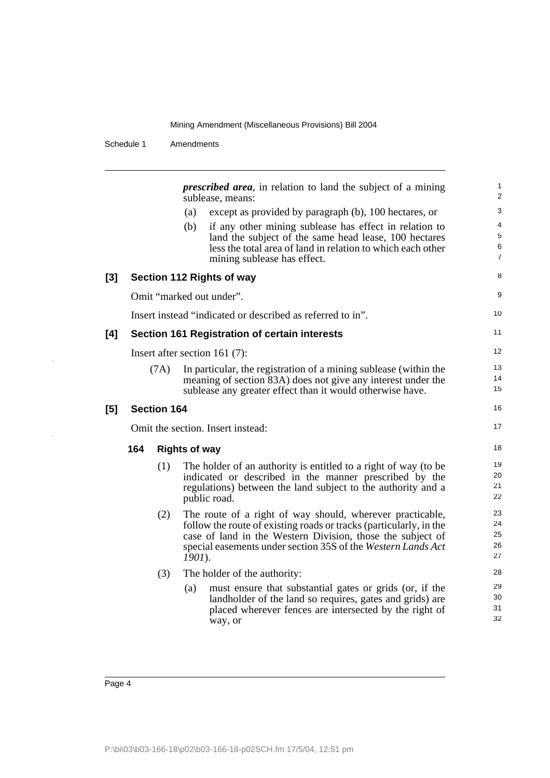Schedule 1 Amendments

|       |     |                    |                      | <i>prescribed area</i> , in relation to land the subject of a mining<br>sublease, means:                                                                                                                                                                      |  |
|-------|-----|--------------------|----------------------|---------------------------------------------------------------------------------------------------------------------------------------------------------------------------------------------------------------------------------------------------------------|--|
|       |     |                    | (a)                  | except as provided by paragraph (b), 100 hectares, or                                                                                                                                                                                                         |  |
|       |     |                    | (b)                  | if any other mining sublease has effect in relation to<br>land the subject of the same head lease, 100 hectares<br>less the total area of land in relation to which each other<br>mining sublease has effect.                                                 |  |
| $[3]$ |     |                    |                      | Section 112 Rights of way                                                                                                                                                                                                                                     |  |
|       |     |                    |                      | Omit "marked out under".                                                                                                                                                                                                                                      |  |
|       |     |                    |                      | Insert instead "indicated or described as referred to in".                                                                                                                                                                                                    |  |
| [4]   |     |                    |                      | Section 161 Registration of certain interests                                                                                                                                                                                                                 |  |
|       |     |                    |                      | Insert after section 161 $(7)$ :                                                                                                                                                                                                                              |  |
|       |     | (7A)               |                      | In particular, the registration of a mining sublease (within the<br>meaning of section 83A) does not give any interest under the<br>sublease any greater effect than it would otherwise have.                                                                 |  |
| [5]   |     | <b>Section 164</b> |                      |                                                                                                                                                                                                                                                               |  |
|       |     |                    |                      | Omit the section. Insert instead:                                                                                                                                                                                                                             |  |
|       | 164 |                    | <b>Rights of way</b> |                                                                                                                                                                                                                                                               |  |
|       |     | (1)                |                      | The holder of an authority is entitled to a right of way (to be<br>indicated or described in the manner prescribed by the<br>regulations) between the land subject to the authority and a<br>public road.                                                     |  |
|       |     | (2)                | 1901).               | The route of a right of way should, wherever practicable,<br>follow the route of existing roads or tracks (particularly, in the<br>case of land in the Western Division, those the subject of<br>special easements under section 35S of the Western Lands Act |  |
|       |     | (3)                |                      | The holder of the authority:                                                                                                                                                                                                                                  |  |
|       |     |                    | (a)                  | must ensure that substantial gates or grids (or, if the<br>landholder of the land so requires, gates and grids) are<br>placed wherever fences are intersected by the right of<br>way, or                                                                      |  |

 $\ddot{\phantom{1}}$ 

 $\hat{\mathcal{A}}$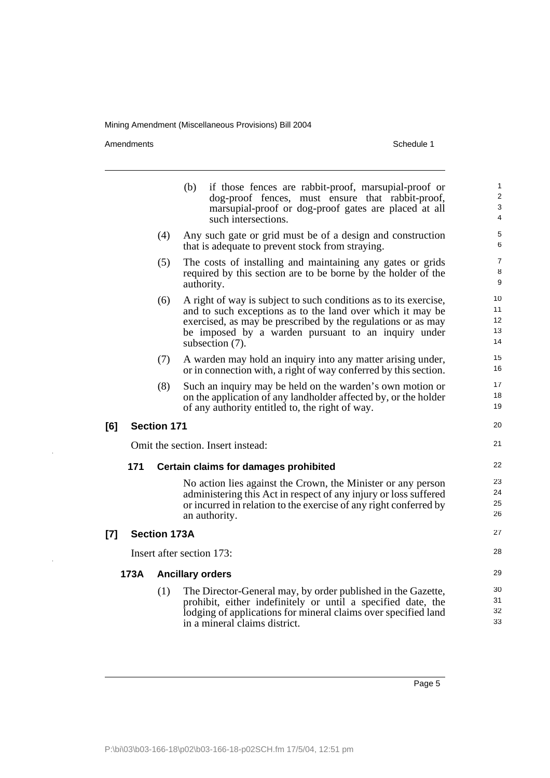Amendments Schedule 1

**[6]** 

J.

 $\frac{1}{2}$ 

**[7] Section 173A**

|      |                     | (b)<br>if those fences are rabbit-proof, marsupial-proof or<br>dog-proof fences, must ensure that rabbit-proof,<br>marsupial-proof or dog-proof gates are placed at all<br>such intersections.                                                                           | 1<br>$\overline{c}$<br>3<br>4 |
|------|---------------------|--------------------------------------------------------------------------------------------------------------------------------------------------------------------------------------------------------------------------------------------------------------------------|-------------------------------|
|      | (4)                 | Any such gate or grid must be of a design and construction<br>that is adequate to prevent stock from straying.                                                                                                                                                           | 5<br>6                        |
|      | (5)                 | The costs of installing and maintaining any gates or grids<br>required by this section are to be borne by the holder of the<br>authority.                                                                                                                                | 7<br>8<br>9                   |
|      | (6)                 | A right of way is subject to such conditions as to its exercise,<br>and to such exceptions as to the land over which it may be<br>exercised, as may be prescribed by the regulations or as may<br>be imposed by a warden pursuant to an inquiry under<br>subsection (7). | 10<br>11<br>12<br>13<br>14    |
|      | (7)                 | A warden may hold an inquiry into any matter arising under,<br>or in connection with, a right of way conferred by this section.                                                                                                                                          | 15<br>16                      |
|      | (8)                 | Such an inquiry may be held on the warden's own motion or<br>on the application of any landholder affected by, or the holder<br>of any authority entitled to, the right of way.                                                                                          | 17<br>18<br>19                |
|      | <b>Section 171</b>  |                                                                                                                                                                                                                                                                          | 20                            |
|      |                     | Omit the section. Insert instead:                                                                                                                                                                                                                                        | 21                            |
| 171  |                     | Certain claims for damages prohibited                                                                                                                                                                                                                                    | 22                            |
|      |                     | No action lies against the Crown, the Minister or any person<br>administering this Act in respect of any injury or loss suffered<br>or incurred in relation to the exercise of any right conferred by<br>an authority.                                                   | 23<br>24<br>25<br>26          |
|      | <b>Section 173A</b> |                                                                                                                                                                                                                                                                          | 27                            |
|      |                     | Insert after section 173:                                                                                                                                                                                                                                                | 28                            |
| 173A |                     | <b>Ancillary orders</b>                                                                                                                                                                                                                                                  | 29                            |
|      | (1)                 | The Director-General may, by order published in the Gazette,<br>prohibit, either indefinitely or until a specified date, the<br>lodging of applications for mineral claims over specified land<br>in a mineral claims district.                                          | 30<br>31<br>32<br>33          |
|      |                     |                                                                                                                                                                                                                                                                          |                               |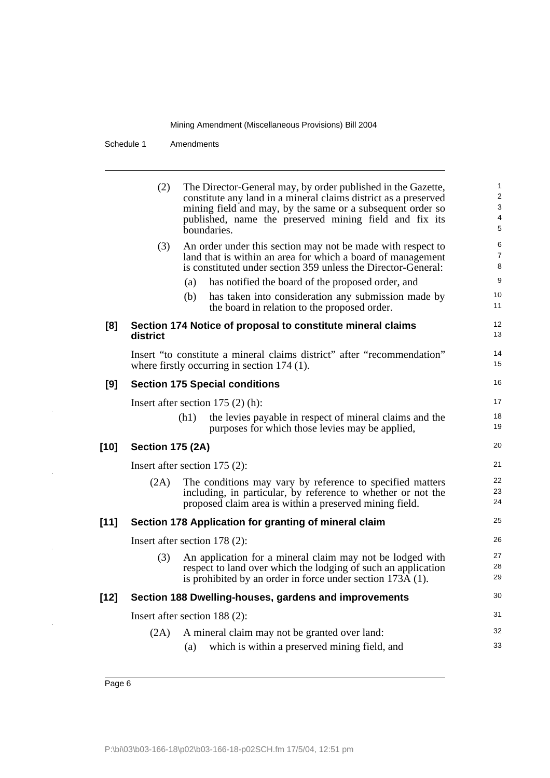Schedule 1 Amendments

|        | (2)                     | The Director-General may, by order published in the Gazette,<br>constitute any land in a mineral claims district as a preserved<br>mining field and may, by the same or a subsequent order so<br>published, name the preserved mining field and fix its<br>boundaries. | 1<br>$\overline{2}$<br>$\ensuremath{\mathsf{3}}$<br>$\overline{\mathbf{4}}$<br>5 |
|--------|-------------------------|------------------------------------------------------------------------------------------------------------------------------------------------------------------------------------------------------------------------------------------------------------------------|----------------------------------------------------------------------------------|
|        | (3)                     | An order under this section may not be made with respect to<br>land that is within an area for which a board of management<br>is constituted under section 359 unless the Director-General:                                                                            | 6<br>$\overline{7}$<br>8                                                         |
|        |                         | has notified the board of the proposed order, and<br>(a)                                                                                                                                                                                                               | $\boldsymbol{9}$                                                                 |
|        |                         | has taken into consideration any submission made by<br>(b)<br>the board in relation to the proposed order.                                                                                                                                                             | 10<br>11                                                                         |
| [8]    | district                | Section 174 Notice of proposal to constitute mineral claims                                                                                                                                                                                                            | 12<br>13                                                                         |
|        |                         | Insert "to constitute a mineral claims district" after "recommendation"<br>where firstly occurring in section $174(1)$ .                                                                                                                                               | 14<br>15                                                                         |
| [9]    |                         | <b>Section 175 Special conditions</b>                                                                                                                                                                                                                                  | 16                                                                               |
|        |                         | Insert after section $175(2)$ (h):                                                                                                                                                                                                                                     | 17                                                                               |
|        |                         | the levies payable in respect of mineral claims and the<br>(h1)<br>purposes for which those levies may be applied,                                                                                                                                                     | 18<br>19                                                                         |
| $[10]$ | <b>Section 175 (2A)</b> |                                                                                                                                                                                                                                                                        | 20                                                                               |
|        |                         | Insert after section $175$ (2):                                                                                                                                                                                                                                        | 21                                                                               |
|        | (2A)                    | The conditions may vary by reference to specified matters<br>including, in particular, by reference to whether or not the<br>proposed claim area is within a preserved mining field.                                                                                   | 22<br>23<br>24                                                                   |
| [11]   |                         | Section 178 Application for granting of mineral claim                                                                                                                                                                                                                  | 25                                                                               |
|        |                         | Insert after section $178(2)$ :                                                                                                                                                                                                                                        | 26                                                                               |
|        | (3)                     | An application for a mineral claim may not be lodged with<br>respect to land over which the lodging of such an application<br>is prohibited by an order in force under section 173A (1).                                                                               | 27<br>28<br>29                                                                   |
| $[12]$ |                         | Section 188 Dwelling-houses, gardens and improvements                                                                                                                                                                                                                  | 30                                                                               |
|        |                         | Insert after section 188 (2):                                                                                                                                                                                                                                          | 31                                                                               |
|        | (2A)                    | A mineral claim may not be granted over land:                                                                                                                                                                                                                          | 32                                                                               |
|        |                         | which is within a preserved mining field, and<br>(a)                                                                                                                                                                                                                   | 33                                                                               |

Page 6

 $\hat{\mathcal{A}}$ 

 $\hat{\boldsymbol{\beta}}$ 

 $\bar{z}$ 

 $\frac{1}{2}$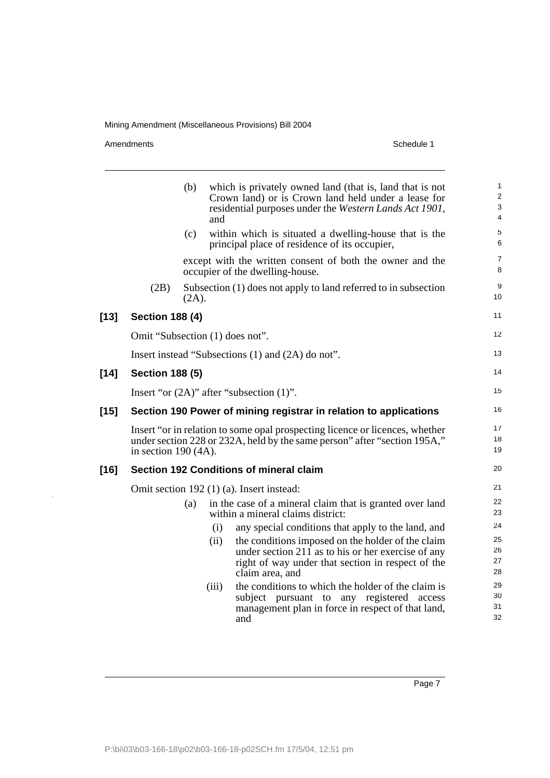Amendments Schedule 1

|        |                                 | (b)      | and   | which is privately owned land (that is, land that is not<br>Crown land) or is Crown land held under a lease for<br>residential purposes under the Western Lands Act 1901, | 1<br>$\overline{\mathbf{c}}$<br>3<br>4 |
|--------|---------------------------------|----------|-------|---------------------------------------------------------------------------------------------------------------------------------------------------------------------------|----------------------------------------|
|        |                                 | (c)      |       | within which is situated a dwelling-house that is the<br>principal place of residence of its occupier,                                                                    | 5<br>6                                 |
|        |                                 |          |       | except with the written consent of both the owner and the<br>occupier of the dwelling-house.                                                                              | 7<br>8                                 |
|        | (2B)                            | $(2A)$ . |       | Subsection (1) does not apply to land referred to in subsection                                                                                                           | 9<br>10                                |
| $[13]$ | <b>Section 188 (4)</b>          |          |       |                                                                                                                                                                           | 11                                     |
|        | Omit "Subsection (1) does not". |          |       |                                                                                                                                                                           | 12                                     |
|        |                                 |          |       | Insert instead "Subsections (1) and (2A) do not".                                                                                                                         | 13                                     |
| $[14]$ | <b>Section 188 (5)</b>          |          |       |                                                                                                                                                                           | 14                                     |
|        |                                 |          |       | Insert "or $(2A)$ " after "subsection $(1)$ ".                                                                                                                            | 15                                     |
| $[15]$ |                                 |          |       | Section 190 Power of mining registrar in relation to applications                                                                                                         | 16                                     |
|        | in section $190(4A)$ .          |          |       | Insert "or in relation to some opal prospecting licence or licences, whether<br>under section 228 or 232A, held by the same person" after "section 195A,"                 | 17<br>18<br>19                         |
| $[16]$ |                                 |          |       | Section 192 Conditions of mineral claim                                                                                                                                   | 20                                     |
|        |                                 |          |       | Omit section 192 (1) (a). Insert instead:                                                                                                                                 | 21                                     |
|        |                                 | (a)      |       | in the case of a mineral claim that is granted over land<br>within a mineral claims district:                                                                             | 22<br>23                               |
|        |                                 |          | (i)   | any special conditions that apply to the land, and                                                                                                                        | 24                                     |
|        |                                 |          | (ii)  | the conditions imposed on the holder of the claim                                                                                                                         | 25                                     |
|        |                                 |          |       | under section 211 as to his or her exercise of any                                                                                                                        | 26<br>27                               |
|        |                                 |          |       | right of way under that section in respect of the<br>claim area, and                                                                                                      | 28                                     |
|        |                                 |          | (iii) | the conditions to which the holder of the claim is                                                                                                                        | 29                                     |
|        |                                 |          |       | subject pursuant to any registered access                                                                                                                                 | 30                                     |
|        |                                 |          |       | management plan in force in respect of that land,<br>and                                                                                                                  | 31<br>32                               |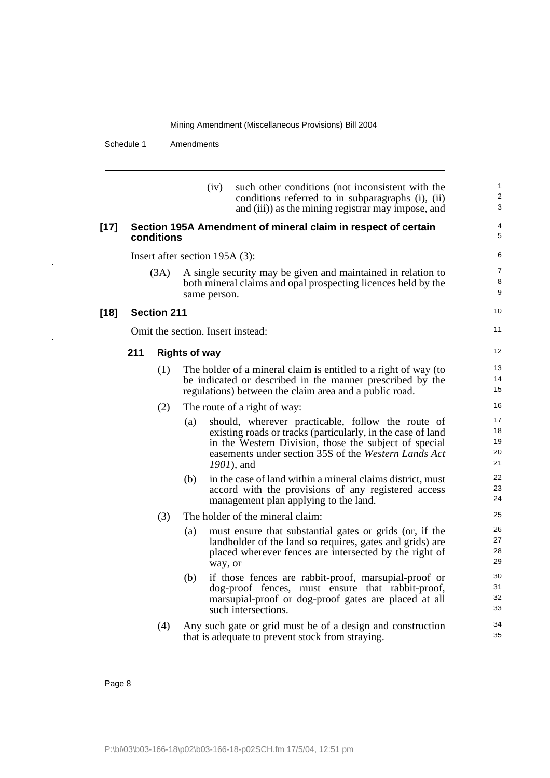Schedule 1 Amendments

(iv) such other conditions (not inconsistent with the conditions referred to in subparagraphs (i), (ii) and (iii)) as the mining registrar may impose, and **[17] Section 195A Amendment of mineral claim in respect of certain conditions** Insert after section 195A (3): (3A) A single security may be given and maintained in relation to both mineral claims and opal prospecting licences held by the same person. **[18] Section 211** Omit the section. Insert instead: **211 Rights of way** (1) The holder of a mineral claim is entitled to a right of way (to be indicated or described in the manner prescribed by the regulations) between the claim area and a public road. (2) The route of a right of way: (a) should, wherever practicable, follow the route of existing roads or tracks (particularly, in the case of land in the Western Division, those the subject of special easements under section 35S of the *Western Lands Act 1901*), and (b) in the case of land within a mineral claims district, must accord with the provisions of any registered access management plan applying to the land. (3) The holder of the mineral claim: (a) must ensure that substantial gates or grids (or, if the landholder of the land so requires, gates and grids) are placed wherever fences are intersected by the right of way, or (b) if those fences are rabbit-proof, marsupial-proof or dog-proof fences, must ensure that rabbit-proof, marsupial-proof or dog-proof gates are placed at all such intersections. (4) Any such gate or grid must be of a design and construction that is adequate to prevent stock from straying. 1  $\overline{2}$ 3 4 5 6 7 8 9  $1<sub>0</sub>$ 11 12 13 14 15 16 17 18 19 20 21 22 23 24 25 26 27 28 29 30 31 32 33 34 35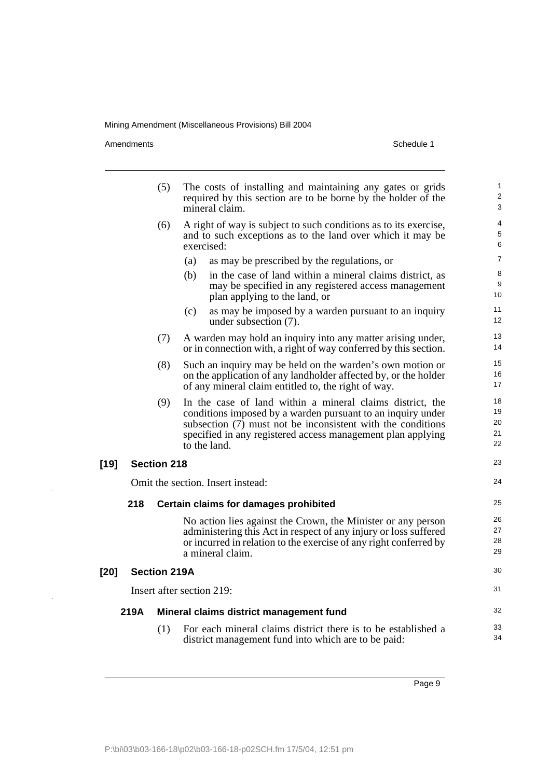Amendments Schedule 1

J.

i,

|        |      | (5)                 | The costs of installing and maintaining any gates or grids<br>required by this section are to be borne by the holder of the<br>mineral claim.                                                                                                                            | 1<br>$\overline{2}$<br>3   |
|--------|------|---------------------|--------------------------------------------------------------------------------------------------------------------------------------------------------------------------------------------------------------------------------------------------------------------------|----------------------------|
|        |      | (6)                 | A right of way is subject to such conditions as to its exercise,<br>and to such exceptions as to the land over which it may be<br>exercised:                                                                                                                             | 4<br>5<br>6                |
|        |      |                     | (a)<br>as may be prescribed by the regulations, or                                                                                                                                                                                                                       | $\overline{7}$             |
|        |      |                     | (b)<br>in the case of land within a mineral claims district, as<br>may be specified in any registered access management<br>plan applying to the land, or                                                                                                                 | 8<br>9<br>10               |
|        |      |                     | (c)<br>as may be imposed by a warden pursuant to an inquiry<br>under subsection (7).                                                                                                                                                                                     | 11<br>12                   |
|        |      | (7)                 | A warden may hold an inquiry into any matter arising under,<br>or in connection with, a right of way conferred by this section.                                                                                                                                          | 13<br>14                   |
|        |      | (8)                 | Such an inquiry may be held on the warden's own motion or<br>on the application of any landholder affected by, or the holder<br>of any mineral claim entitled to, the right of way.                                                                                      | 15<br>16<br>17             |
|        |      | (9)                 | In the case of land within a mineral claims district, the<br>conditions imposed by a warden pursuant to an inquiry under<br>subsection $(7)$ must not be inconsistent with the conditions<br>specified in any registered access management plan applying<br>to the land. | 18<br>19<br>20<br>21<br>22 |
| $[19]$ |      | <b>Section 218</b>  |                                                                                                                                                                                                                                                                          | 23                         |
|        |      |                     | Omit the section. Insert instead:                                                                                                                                                                                                                                        | 24                         |
|        | 218  |                     | Certain claims for damages prohibited                                                                                                                                                                                                                                    | 25                         |
|        |      |                     | No action lies against the Crown, the Minister or any person                                                                                                                                                                                                             | 26                         |
|        |      |                     | administering this Act in respect of any injury or loss suffered                                                                                                                                                                                                         | 27<br>28                   |
|        |      |                     | or incurred in relation to the exercise of any right conferred by<br>a mineral claim.                                                                                                                                                                                    | 29                         |
| $[20]$ |      | <b>Section 219A</b> |                                                                                                                                                                                                                                                                          | 30                         |
|        |      |                     | Insert after section 219:                                                                                                                                                                                                                                                | 31                         |
|        | 219A |                     | Mineral claims district management fund                                                                                                                                                                                                                                  | 32                         |
|        |      | (1)                 | For each mineral claims district there is to be established a<br>district management fund into which are to be paid:                                                                                                                                                     | 33<br>34                   |
|        |      |                     |                                                                                                                                                                                                                                                                          |                            |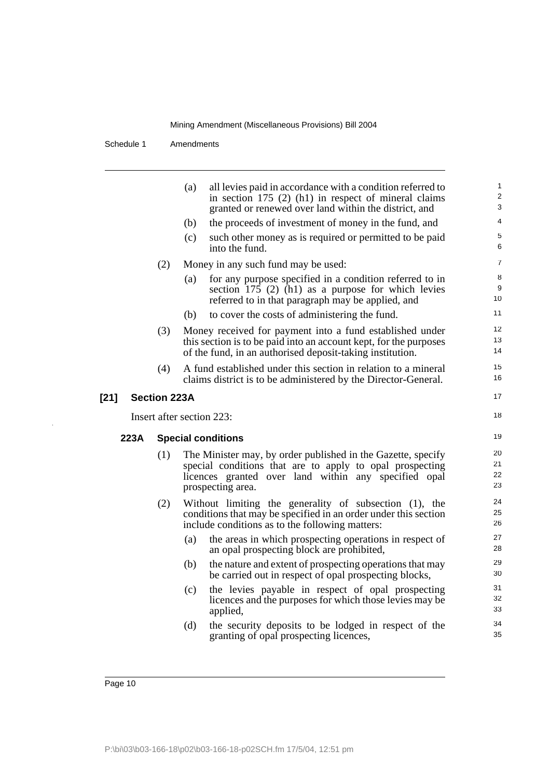Schedule 1 Amendments

|        |      |                     | (a)<br>all levies paid in accordance with a condition referred to<br>in section $175$ (2) (h1) in respect of mineral claims<br>granted or renewed over land within the district, and                  | 1<br>2<br>3          |
|--------|------|---------------------|-------------------------------------------------------------------------------------------------------------------------------------------------------------------------------------------------------|----------------------|
|        |      |                     | (b)<br>the proceeds of investment of money in the fund, and                                                                                                                                           | 4                    |
|        |      |                     | (c)<br>such other money as is required or permitted to be paid<br>into the fund.                                                                                                                      | 5<br>6               |
|        |      | (2)                 | Money in any such fund may be used:                                                                                                                                                                   | $\overline{7}$       |
|        |      |                     | for any purpose specified in a condition referred to in<br>(a)<br>section 175 $(2)$ (h1) as a purpose for which levies<br>referred to in that paragraph may be applied, and                           | 8<br>9<br>10         |
|        |      |                     | to cover the costs of administering the fund.<br>(b)                                                                                                                                                  | 11                   |
|        |      | (3)                 | Money received for payment into a fund established under<br>this section is to be paid into an account kept, for the purposes<br>of the fund, in an authorised deposit-taking institution.            | 12<br>13<br>14       |
|        |      | (4)                 | A fund established under this section in relation to a mineral<br>claims district is to be administered by the Director-General.                                                                      | 15<br>16             |
| $[21]$ |      | <b>Section 223A</b> |                                                                                                                                                                                                       | 17                   |
|        |      |                     | Insert after section 223:                                                                                                                                                                             | 18                   |
|        | 223A |                     | <b>Special conditions</b>                                                                                                                                                                             | 19                   |
|        |      | (1)                 | The Minister may, by order published in the Gazette, specify<br>special conditions that are to apply to opal prospecting<br>licences granted over land within any specified opal<br>prospecting area. | 20<br>21<br>22<br>23 |
|        |      | (2)                 | Without limiting the generality of subsection (1), the<br>conditions that may be specified in an order under this section<br>include conditions as to the following matters:                          | 24<br>25<br>26       |
|        |      |                     | (a)<br>the areas in which prospecting operations in respect of<br>an opal prospecting block are prohibited,                                                                                           | 27<br>28             |
|        |      |                     | (b)<br>the nature and extent of prospecting operations that may<br>be carried out in respect of opal prospecting blocks,                                                                              | 29<br>30             |
|        |      |                     | the levies payable in respect of opal prospecting<br>(c)<br>licences and the purposes for which those levies may be<br>applied,                                                                       | 31<br>32<br>33       |
|        |      |                     | (d)<br>the security deposits to be lodged in respect of the<br>granting of opal prospecting licences,                                                                                                 | 34<br>35             |
|        |      |                     |                                                                                                                                                                                                       |                      |

 $\bar{z}$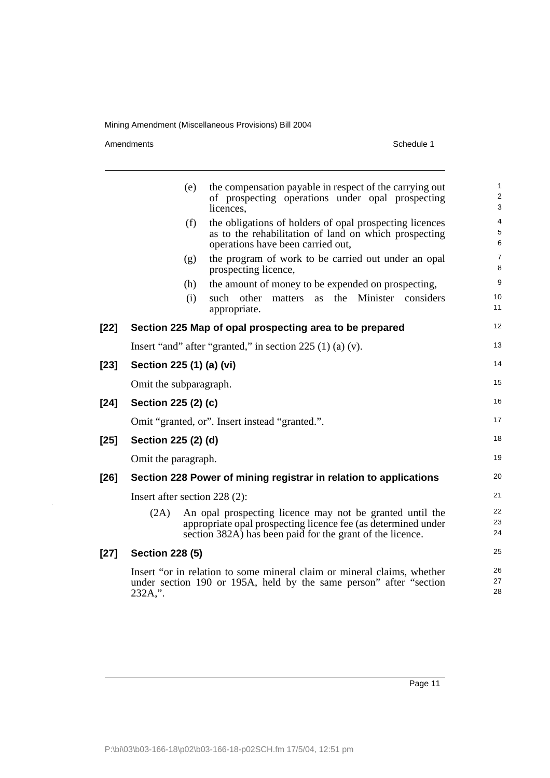Amendments Schedule 1

|        | (e)                           | the compensation payable in respect of the carrying out<br>of prospecting operations under opal prospecting<br>licences.                                                               | $\mathbf{1}$<br>$\overline{2}$<br>3 |
|--------|-------------------------------|----------------------------------------------------------------------------------------------------------------------------------------------------------------------------------------|-------------------------------------|
|        | (f)                           | the obligations of holders of opal prospecting licences<br>as to the rehabilitation of land on which prospecting<br>operations have been carried out,                                  | 4<br>$\,$ 5 $\,$<br>6               |
|        | (g)                           | the program of work to be carried out under an opal<br>prospecting licence,                                                                                                            | $\overline{7}$<br>8                 |
|        | (h)                           | the amount of money to be expended on prospecting,                                                                                                                                     | 9                                   |
|        | (i)                           | as the Minister considers<br>such other<br>matters<br>appropriate.                                                                                                                     | 10<br>11                            |
| $[22]$ |                               | Section 225 Map of opal prospecting area to be prepared                                                                                                                                | 12                                  |
|        |                               | Insert "and" after "granted," in section $225(1)(a)(v)$ .                                                                                                                              | 13                                  |
| $[23]$ | Section 225 (1) (a) (vi)      |                                                                                                                                                                                        | 14                                  |
|        | Omit the subparagraph.        |                                                                                                                                                                                        | 15                                  |
| $[24]$ | Section 225 (2) (c)           |                                                                                                                                                                                        | 16                                  |
|        |                               | Omit "granted, or". Insert instead "granted.".                                                                                                                                         | 17                                  |
| $[25]$ | Section 225 (2) (d)           |                                                                                                                                                                                        | 18                                  |
|        | Omit the paragraph.           |                                                                                                                                                                                        | 19                                  |
| $[26]$ |                               | Section 228 Power of mining registrar in relation to applications                                                                                                                      | 20                                  |
|        | Insert after section 228 (2): |                                                                                                                                                                                        | 21                                  |
|        | (2A)                          | An opal prospecting licence may not be granted until the<br>appropriate opal prospecting licence fee (as determined under<br>section 382A) has been paid for the grant of the licence. | 22<br>23<br>24                      |
| $[27]$ | <b>Section 228 (5)</b>        |                                                                                                                                                                                        | 25                                  |
|        | 232A,".                       | Insert "or in relation to some mineral claim or mineral claims, whether<br>under section 190 or 195A, held by the same person" after "section                                          | 26<br>27<br>28                      |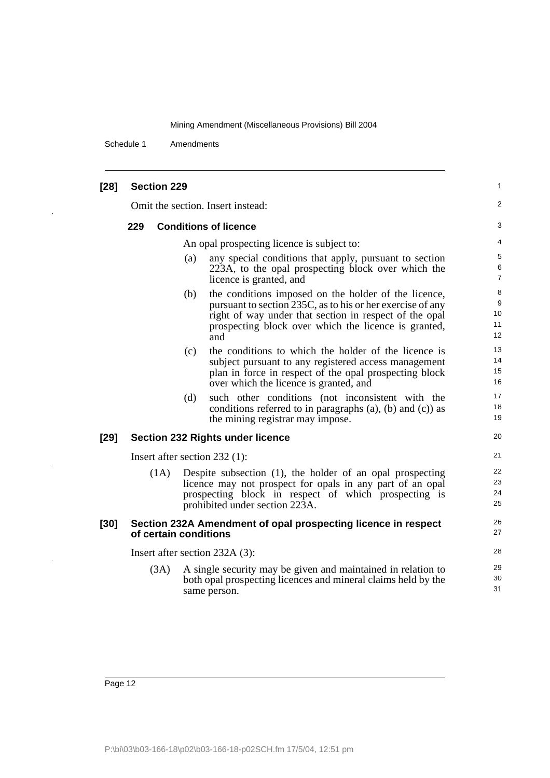Schedule 1 Amendments

| $[28]$ |     | <b>Section 229</b> |     |                                                                                                                                                                                                                                             | 1                        |
|--------|-----|--------------------|-----|---------------------------------------------------------------------------------------------------------------------------------------------------------------------------------------------------------------------------------------------|--------------------------|
|        |     |                    |     |                                                                                                                                                                                                                                             |                          |
|        |     |                    |     | Omit the section. Insert instead:                                                                                                                                                                                                           | 2                        |
|        | 229 |                    |     | <b>Conditions of licence</b>                                                                                                                                                                                                                | 3                        |
|        |     |                    |     | An opal prospecting licence is subject to:                                                                                                                                                                                                  | 4                        |
|        |     |                    | (a) | any special conditions that apply, pursuant to section<br>223A, to the opal prospecting block over which the<br>licence is granted, and                                                                                                     | 5<br>6<br>$\overline{7}$ |
|        |     |                    | (b) | the conditions imposed on the holder of the licence,<br>pursuant to section 235C, as to his or her exercise of any<br>right of way under that section in respect of the opal<br>prospecting block over which the licence is granted,<br>and | 8<br>9<br>10<br>11<br>12 |
|        |     |                    | (c) | the conditions to which the holder of the licence is<br>subject pursuant to any registered access management<br>plan in force in respect of the opal prospecting block<br>over which the licence is granted, and                            | 13<br>14<br>15<br>16     |
|        |     |                    | (d) | such other conditions (not inconsistent with the<br>conditions referred to in paragraphs $(a)$ , $(b)$ and $(c)$ ) as<br>the mining registrar may impose.                                                                                   | 17<br>18<br>19           |
| $[29]$ |     |                    |     | <b>Section 232 Rights under licence</b>                                                                                                                                                                                                     | 20                       |
|        |     |                    |     | Insert after section $232$ (1):                                                                                                                                                                                                             | 21                       |
|        |     | (1A)               |     | Despite subsection (1), the holder of an opal prospecting<br>licence may not prospect for opals in any part of an opal<br>prospecting block in respect of which prospecting is<br>prohibited under section 223A.                            | 22<br>23<br>24<br>25     |
| [30]   |     |                    |     | Section 232A Amendment of opal prospecting licence in respect<br>of certain conditions                                                                                                                                                      | 26<br>27                 |
|        |     |                    |     | Insert after section 232A (3):                                                                                                                                                                                                              | 28                       |
|        |     | (3A)               |     | A single security may be given and maintained in relation to<br>both opal prospecting licences and mineral claims held by the<br>same person.                                                                                               | 29<br>30<br>31           |

l,

 $\hat{\mathcal{F}}$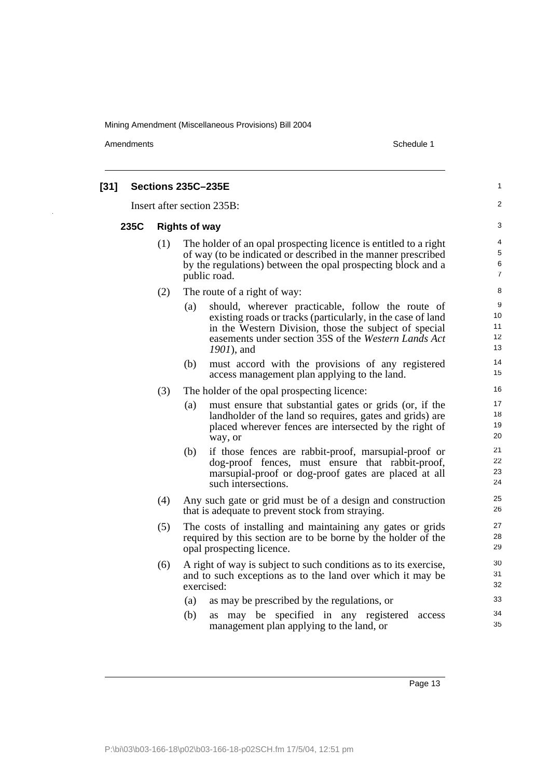Amendments Schedule 1

| $[31]$ |                            |     | <b>Sections 235C-235E</b>                                                                                                                                                                                                                                | 1                             |  |  |  |
|--------|----------------------------|-----|----------------------------------------------------------------------------------------------------------------------------------------------------------------------------------------------------------------------------------------------------------|-------------------------------|--|--|--|
|        | Insert after section 235B: |     |                                                                                                                                                                                                                                                          |                               |  |  |  |
|        | 235C                       |     | <b>Rights of way</b>                                                                                                                                                                                                                                     | 3                             |  |  |  |
|        |                            | (1) | The holder of an opal prospecting licence is entitled to a right<br>of way (to be indicated or described in the manner prescribed<br>by the regulations) between the opal prospecting block and a<br>public road.                                        | 4<br>5<br>6<br>$\overline{7}$ |  |  |  |
|        |                            | (2) | The route of a right of way:                                                                                                                                                                                                                             | 8                             |  |  |  |
|        |                            |     | should, wherever practicable, follow the route of<br>(a)<br>existing roads or tracks (particularly, in the case of land<br>in the Western Division, those the subject of special<br>easements under section 35S of the Western Lands Act<br>$1901$ , and | 9<br>10<br>11<br>12<br>13     |  |  |  |
|        |                            |     | (b)<br>must accord with the provisions of any registered<br>access management plan applying to the land.                                                                                                                                                 | 14<br>15                      |  |  |  |
|        |                            | (3) | The holder of the opal prospecting licence:                                                                                                                                                                                                              | 16                            |  |  |  |
|        |                            |     | must ensure that substantial gates or grids (or, if the<br>(a)<br>landholder of the land so requires, gates and grids) are<br>placed wherever fences are intersected by the right of<br>way, or                                                          | 17<br>18<br>19<br>20          |  |  |  |
|        |                            |     | (b)<br>if those fences are rabbit-proof, marsupial-proof or<br>dog-proof fences, must ensure that rabbit-proof,<br>marsupial-proof or dog-proof gates are placed at all<br>such intersections.                                                           | 21<br>22<br>23<br>24          |  |  |  |
|        |                            | (4) | Any such gate or grid must be of a design and construction<br>that is adequate to prevent stock from straying.                                                                                                                                           | 25<br>26                      |  |  |  |
|        |                            | (5) | The costs of installing and maintaining any gates or grids<br>required by this section are to be borne by the holder of the<br>opal prospecting licence.                                                                                                 | 27<br>28<br>29                |  |  |  |
|        |                            | (6) | A right of way is subject to such conditions as to its exercise,<br>and to such exceptions as to the land over which it may be<br>exercised:                                                                                                             | 30<br>31<br>32                |  |  |  |
|        |                            |     | (a)<br>as may be prescribed by the regulations, or                                                                                                                                                                                                       | 33                            |  |  |  |
|        |                            |     | (b)<br>as may be specified in any registered access<br>management plan applying to the land, or                                                                                                                                                          | 34<br>35                      |  |  |  |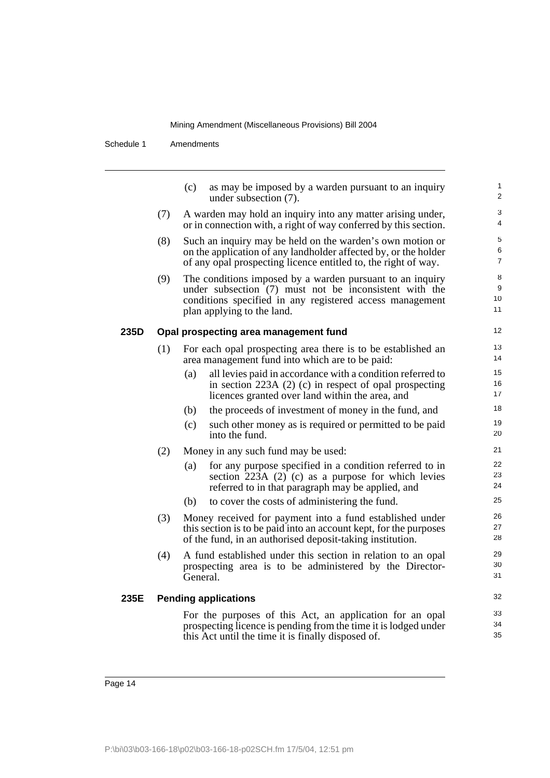Schedule 1 Amendments

|      |     | (c)      | as may be imposed by a warden pursuant to an inquiry<br>under subsection (7).                                                                                                                                   | 1<br>$\overline{2}$      |
|------|-----|----------|-----------------------------------------------------------------------------------------------------------------------------------------------------------------------------------------------------------------|--------------------------|
|      | (7) |          | A warden may hold an inquiry into any matter arising under,<br>or in connection with, a right of way conferred by this section.                                                                                 | 3<br>$\overline{4}$      |
|      | (8) |          | Such an inquiry may be held on the warden's own motion or<br>on the application of any landholder affected by, or the holder<br>of any opal prospecting licence entitled to, the right of way.                  | 5<br>6<br>$\overline{7}$ |
|      | (9) |          | The conditions imposed by a warden pursuant to an inquiry<br>under subsection $(7)$ must not be inconsistent with the<br>conditions specified in any registered access management<br>plan applying to the land. | 8<br>9<br>10<br>11       |
| 235D |     |          | Opal prospecting area management fund                                                                                                                                                                           | 12                       |
|      | (1) |          | For each opal prospecting area there is to be established an<br>area management fund into which are to be paid:                                                                                                 | 13<br>14                 |
|      |     | (a)      | all levies paid in accordance with a condition referred to<br>in section 223A (2) (c) in respect of opal prospecting<br>licences granted over land within the area, and                                         | 15<br>16<br>17           |
|      |     | (b)      | the proceeds of investment of money in the fund, and                                                                                                                                                            | 18                       |
|      |     | (c)      | such other money as is required or permitted to be paid<br>into the fund.                                                                                                                                       | 19<br>20                 |
|      | (2) |          | Money in any such fund may be used:                                                                                                                                                                             | 21                       |
|      |     | (a)      | for any purpose specified in a condition referred to in<br>section 223A (2) (c) as a purpose for which levies<br>referred to in that paragraph may be applied, and                                              | 22<br>23<br>24           |
|      |     | (b)      | to cover the costs of administering the fund.                                                                                                                                                                   | 25                       |
|      | (3) |          | Money received for payment into a fund established under<br>this section is to be paid into an account kept, for the purposes<br>of the fund, in an authorised deposit-taking institution.                      | 26<br>27<br>28           |
|      | (4) | General. | A fund established under this section in relation to an opal<br>prospecting area is to be administered by the Director-                                                                                         | 29<br>30<br>31           |
| 235E |     |          | <b>Pending applications</b>                                                                                                                                                                                     | 32                       |
|      |     |          | For the purposes of this Act, an application for an opal<br>prospecting licence is pending from the time it is lodged under<br>this Act until the time it is finally disposed of.                               | 33<br>34<br>35           |
|      |     |          |                                                                                                                                                                                                                 |                          |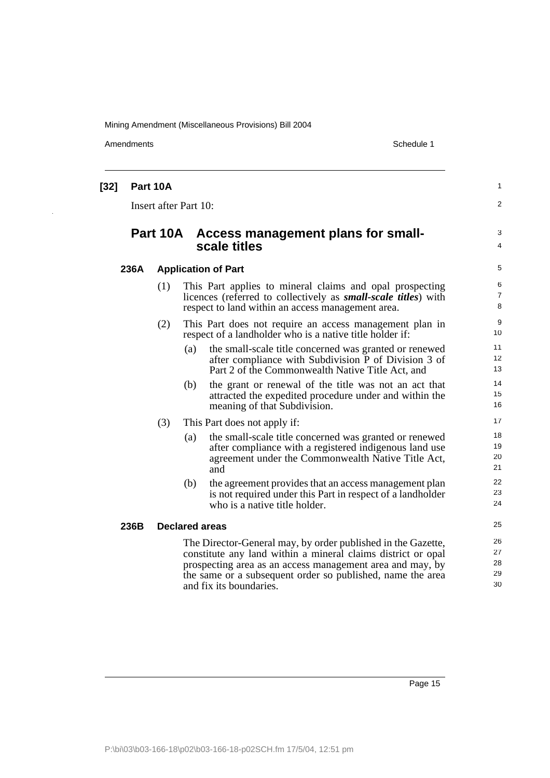Amendments Schedule 1

| $[32]$ | Part 10A |                       |                            |                                                                                                                                                                                                                                                                                    | 1                          |  |
|--------|----------|-----------------------|----------------------------|------------------------------------------------------------------------------------------------------------------------------------------------------------------------------------------------------------------------------------------------------------------------------------|----------------------------|--|
|        |          | Insert after Part 10: |                            |                                                                                                                                                                                                                                                                                    | 2                          |  |
|        |          | Part 10A              |                            | Access management plans for small-<br>scale titles                                                                                                                                                                                                                                 | 3<br>4                     |  |
|        | 236A     |                       | <b>Application of Part</b> |                                                                                                                                                                                                                                                                                    |                            |  |
|        |          | (1)                   |                            | This Part applies to mineral claims and opal prospecting<br>licences (referred to collectively as <i>small-scale titles</i> ) with<br>respect to land within an access management area.                                                                                            | 6<br>7<br>8                |  |
|        |          | (2)                   |                            | This Part does not require an access management plan in<br>respect of a landholder who is a native title holder if:                                                                                                                                                                | 9<br>10                    |  |
|        |          |                       | (a)                        | the small-scale title concerned was granted or renewed<br>after compliance with Subdivision P of Division 3 of<br>Part 2 of the Commonwealth Native Title Act, and                                                                                                                 | 11<br>12<br>13             |  |
|        |          |                       | (b)                        | the grant or renewal of the title was not an act that<br>attracted the expedited procedure under and within the<br>meaning of that Subdivision.                                                                                                                                    | 14<br>15<br>16             |  |
|        |          | (3)                   |                            | This Part does not apply if:                                                                                                                                                                                                                                                       | 17                         |  |
|        |          |                       | (a)                        | the small-scale title concerned was granted or renewed<br>after compliance with a registered indigenous land use<br>agreement under the Commonwealth Native Title Act,<br>and                                                                                                      | 18<br>19<br>20<br>21       |  |
|        |          |                       | (b)                        | the agreement provides that an access management plan<br>is not required under this Part in respect of a landholder<br>who is a native title holder.                                                                                                                               | 22<br>23<br>24             |  |
|        | 236B     |                       |                            | <b>Declared areas</b>                                                                                                                                                                                                                                                              | 25                         |  |
|        |          |                       |                            | The Director-General may, by order published in the Gazette,<br>constitute any land within a mineral claims district or opal<br>prospecting area as an access management area and may, by<br>the same or a subsequent order so published, name the area<br>and fix its boundaries. | 26<br>27<br>28<br>29<br>30 |  |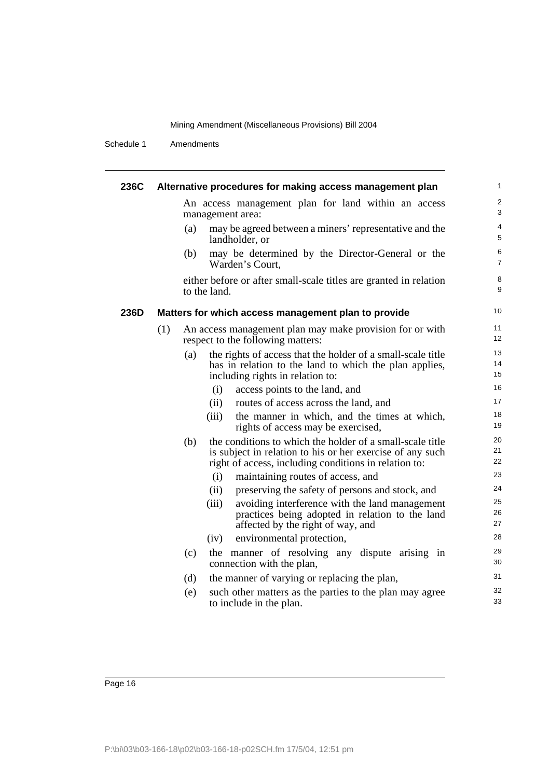Schedule 1 Amendments

| 236C |     | Alternative procedures for making access management plan                                                                                                                               | $\mathbf{1}$        |
|------|-----|----------------------------------------------------------------------------------------------------------------------------------------------------------------------------------------|---------------------|
|      |     | An access management plan for land within an access<br>management area:                                                                                                                | $\overline{2}$<br>3 |
|      |     | (a)<br>may be agreed between a miners' representative and the<br>landholder, or                                                                                                        | 4<br>5              |
|      |     | (b)<br>may be determined by the Director-General or the<br>Warden's Court,                                                                                                             | 6<br>$\overline{7}$ |
|      |     | either before or after small-scale titles are granted in relation<br>to the land.                                                                                                      | 8<br>9              |
| 236D |     | Matters for which access management plan to provide                                                                                                                                    | 10                  |
|      | (1) | An access management plan may make provision for or with<br>respect to the following matters:                                                                                          | 11<br>12            |
|      |     | the rights of access that the holder of a small-scale title<br>(a)<br>has in relation to the land to which the plan applies,<br>including rights in relation to:                       | 13<br>14<br>15      |
|      |     | access points to the land, and<br>(i)                                                                                                                                                  | 16                  |
|      |     | routes of access across the land, and<br>(ii)                                                                                                                                          | 17                  |
|      |     | the manner in which, and the times at which,<br>(iii)<br>rights of access may be exercised,                                                                                            | 18<br>19            |
|      |     | the conditions to which the holder of a small-scale title<br>(b)<br>is subject in relation to his or her exercise of any such<br>right of access, including conditions in relation to: | 20<br>21<br>22      |
|      |     | maintaining routes of access, and<br>(i)                                                                                                                                               | 23                  |
|      |     | preserving the safety of persons and stock, and<br>(ii)                                                                                                                                | 24                  |
|      |     | avoiding interference with the land management<br>(iii)<br>practices being adopted in relation to the land<br>affected by the right of way, and                                        | 25<br>26<br>27      |
|      |     | environmental protection,<br>(iv)                                                                                                                                                      | 28                  |
|      |     | (c)<br>the manner of resolving any dispute arising in<br>connection with the plan,                                                                                                     | 29<br>30            |
|      |     | (d)<br>the manner of varying or replacing the plan,                                                                                                                                    | 31                  |
|      |     | such other matters as the parties to the plan may agree<br>(e)<br>to include in the plan.                                                                                              | 32<br>33            |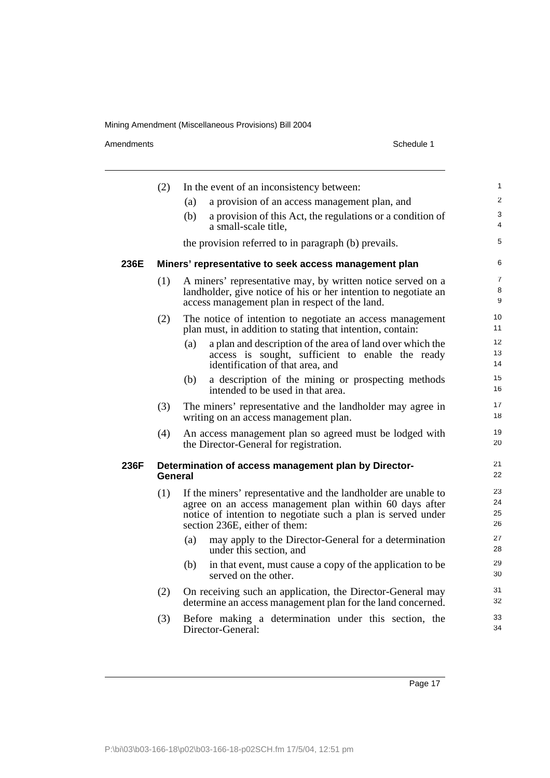Amendments Schedule 1

|      | (2)     | In the event of an inconsistency between:                                                                                                                                                                                  | 1                        |
|------|---------|----------------------------------------------------------------------------------------------------------------------------------------------------------------------------------------------------------------------------|--------------------------|
|      |         | a provision of an access management plan, and<br>(a)                                                                                                                                                                       | $\overline{c}$           |
|      |         | (b)<br>a provision of this Act, the regulations or a condition of<br>a small-scale title,                                                                                                                                  | 3<br>4                   |
|      |         | the provision referred to in paragraph (b) prevails.                                                                                                                                                                       | 5                        |
| 236E |         | Miners' representative to seek access management plan                                                                                                                                                                      | 6                        |
|      | (1)     | A miners' representative may, by written notice served on a<br>landholder, give notice of his or her intention to negotiate an<br>access management plan in respect of the land.                                           | $\overline{7}$<br>8<br>9 |
|      | (2)     | The notice of intention to negotiate an access management<br>plan must, in addition to stating that intention, contain:                                                                                                    | 10<br>11                 |
|      |         | (a)<br>a plan and description of the area of land over which the<br>access is sought, sufficient to enable the ready<br>identification of that area, and                                                                   | 12<br>13<br>14           |
|      |         | a description of the mining or prospecting methods<br>(b)<br>intended to be used in that area.                                                                                                                             | 15<br>16                 |
|      | (3)     | The miners' representative and the landholder may agree in<br>writing on an access management plan.                                                                                                                        | 17<br>18                 |
|      | (4)     | An access management plan so agreed must be lodged with<br>the Director-General for registration.                                                                                                                          | 19<br>20                 |
| 236F | General | Determination of access management plan by Director-                                                                                                                                                                       | 21<br>22                 |
|      | (1)     | If the miners' representative and the landholder are unable to<br>agree on an access management plan within 60 days after<br>notice of intention to negotiate such a plan is served under<br>section 236E, either of them: | 23<br>24<br>25<br>26     |
|      |         | may apply to the Director-General for a determination<br>(a)<br>under this section, and                                                                                                                                    | 27<br>28                 |
|      |         | (b)<br>in that event, must cause a copy of the application to be<br>served on the other.                                                                                                                                   | 29<br>30                 |
|      | (2)     | On receiving such an application, the Director-General may<br>determine an access management plan for the land concerned.                                                                                                  | 31<br>32                 |
|      | (3)     | Before making a determination under this section, the<br>Director-General:                                                                                                                                                 | 33<br>34                 |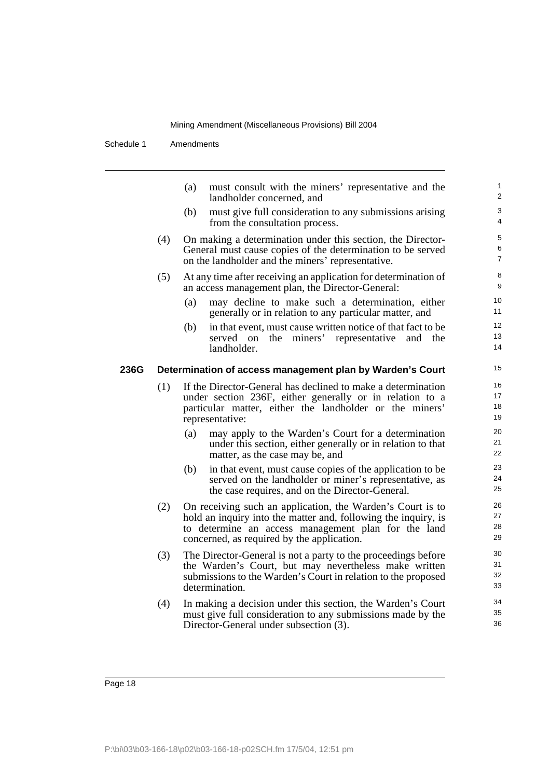Schedule 1 Amendments

|      |     | (a)<br>must consult with the miners' representative and the<br>landholder concerned, and                                                                                                                                          | 1<br>2                   |
|------|-----|-----------------------------------------------------------------------------------------------------------------------------------------------------------------------------------------------------------------------------------|--------------------------|
|      |     | must give full consideration to any submissions arising<br>(b)<br>from the consultation process.                                                                                                                                  | 3<br>4                   |
|      | (4) | On making a determination under this section, the Director-<br>General must cause copies of the determination to be served<br>on the landholder and the miners' representative.                                                   | 5<br>6<br>$\overline{7}$ |
|      | (5) | At any time after receiving an application for determination of<br>an access management plan, the Director-General:                                                                                                               | 8<br>9                   |
|      |     | may decline to make such a determination, either<br>(a)<br>generally or in relation to any particular matter, and                                                                                                                 | 10<br>11                 |
|      |     | (b)<br>in that event, must cause written notice of that fact to be<br>served on the miners'<br>representative<br>and the<br>landholder.                                                                                           | 12<br>13<br>14           |
| 236G |     | Determination of access management plan by Warden's Court                                                                                                                                                                         | 15                       |
|      | (1) | If the Director-General has declined to make a determination<br>under section 236F, either generally or in relation to a<br>particular matter, either the landholder or the miners'<br>representative:                            | 16<br>17<br>18<br>19     |
|      |     | may apply to the Warden's Court for a determination<br>(a)<br>under this section, either generally or in relation to that<br>matter, as the case may be, and                                                                      | 20<br>21<br>22           |
|      |     | (b)<br>in that event, must cause copies of the application to be<br>served on the landholder or miner's representative, as<br>the case requires, and on the Director-General.                                                     | 23<br>24<br>25           |
|      | (2) | On receiving such an application, the Warden's Court is to<br>hold an inquiry into the matter and, following the inquiry, is<br>to determine an access management plan for the land<br>concerned, as required by the application. | 26<br>27<br>28<br>29     |
|      | (3) | The Director-General is not a party to the proceedings before<br>the Warden's Court, but may nevertheless make written<br>submissions to the Warden's Court in relation to the proposed<br>determination.                         | 30<br>31<br>32<br>33     |
|      | (4) | In making a decision under this section, the Warden's Court<br>must give full consideration to any submissions made by the<br>Director-General under subsection (3).                                                              | 34<br>35<br>36           |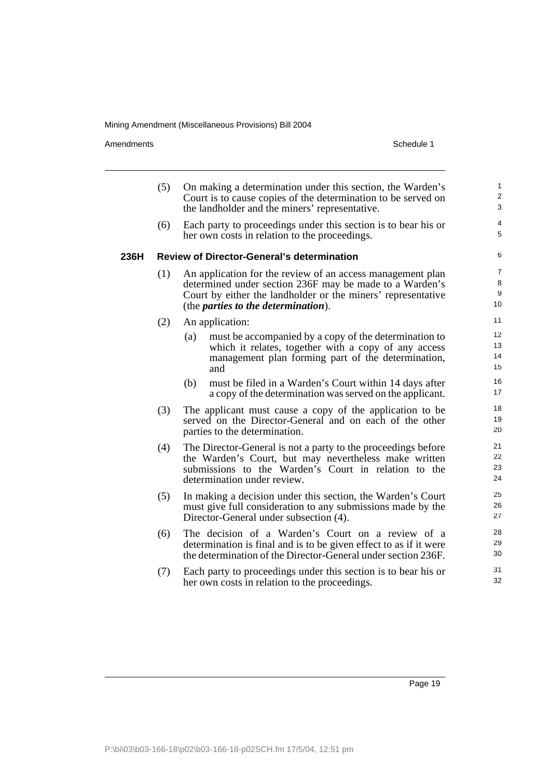Amendments Schedule 1

|      | (5) | On making a determination under this section, the Warden's<br>Court is to cause copies of the determination to be served on<br>the landholder and the miners' representative.                                                        | $\mathbf{1}$<br>2<br>3       |
|------|-----|--------------------------------------------------------------------------------------------------------------------------------------------------------------------------------------------------------------------------------------|------------------------------|
|      | (6) | Each party to proceedings under this section is to bear his or<br>her own costs in relation to the proceedings.                                                                                                                      | $\overline{\mathbf{4}}$<br>5 |
| 236H |     | <b>Review of Director-General's determination</b>                                                                                                                                                                                    | 6                            |
|      | (1) | An application for the review of an access management plan<br>determined under section 236F may be made to a Warden's<br>Court by either the landholder or the miners' representative<br>(the <i>parties to the determination</i> ). | 7<br>8<br>9<br>10            |
|      | (2) | An application:                                                                                                                                                                                                                      | 11                           |
|      |     | must be accompanied by a copy of the determination to<br>(a)<br>which it relates, together with a copy of any access<br>management plan forming part of the determination,<br>and                                                    | 12<br>13<br>14<br>15         |
|      |     | (b)<br>must be filed in a Warden's Court within 14 days after<br>a copy of the determination was served on the applicant.                                                                                                            | 16<br>17                     |
|      | (3) | The applicant must cause a copy of the application to be<br>served on the Director-General and on each of the other<br>parties to the determination.                                                                                 | 18<br>19<br>20               |
|      | (4) | The Director-General is not a party to the proceedings before<br>the Warden's Court, but may nevertheless make written<br>submissions to the Warden's Court in relation to the<br>determination under review.                        | 21<br>22<br>23<br>24         |
|      | (5) | In making a decision under this section, the Warden's Court<br>must give full consideration to any submissions made by the<br>Director-General under subsection (4).                                                                 | 25<br>26<br>27               |
|      | (6) | The decision of a Warden's Court on a review of a<br>determination is final and is to be given effect to as if it were<br>the determination of the Director-General under section 236F.                                              | 28<br>29<br>30               |
|      | (7) | Each party to proceedings under this section is to bear his or<br>her own costs in relation to the proceedings.                                                                                                                      | 31<br>32                     |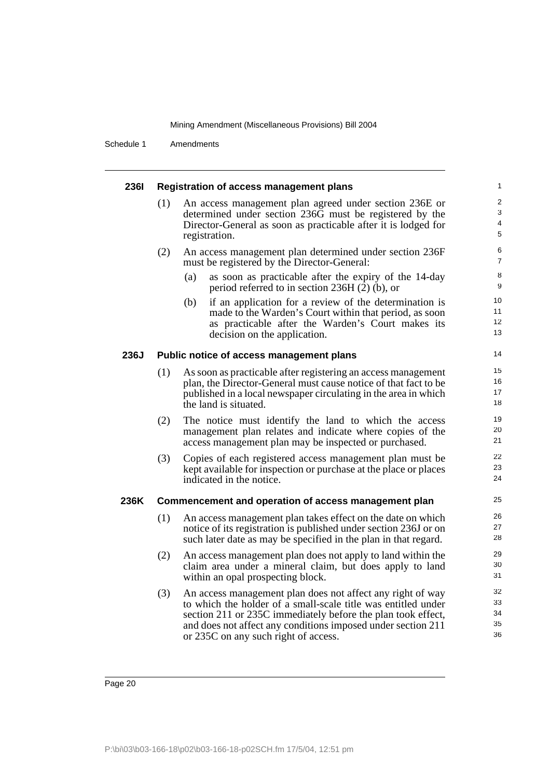Schedule 1 Amendments

| <b>2361</b> |     | <b>Registration of access management plans</b>                                                                                                                                                                                                                                                      | 1                             |
|-------------|-----|-----------------------------------------------------------------------------------------------------------------------------------------------------------------------------------------------------------------------------------------------------------------------------------------------------|-------------------------------|
|             | (1) | An access management plan agreed under section 236E or<br>determined under section 236G must be registered by the<br>Director-General as soon as practicable after it is lodged for<br>registration.                                                                                                | $\overline{2}$<br>3<br>4<br>5 |
|             | (2) | An access management plan determined under section 236F<br>must be registered by the Director-General:                                                                                                                                                                                              | 6<br>$\overline{7}$           |
|             |     | (a)<br>as soon as practicable after the expiry of the 14-day<br>period referred to in section $236H(2)$ (b), or                                                                                                                                                                                     | 8<br>9                        |
|             |     | (b)<br>if an application for a review of the determination is<br>made to the Warden's Court within that period, as soon<br>as practicable after the Warden's Court makes its<br>decision on the application.                                                                                        | 10<br>11<br>12<br>13          |
| 236J        |     | Public notice of access management plans                                                                                                                                                                                                                                                            | 14                            |
|             | (1) | As soon as practicable after registering an access management<br>plan, the Director-General must cause notice of that fact to be<br>published in a local newspaper circulating in the area in which<br>the land is situated.                                                                        | 15<br>16<br>17<br>18          |
|             | (2) | The notice must identify the land to which the access<br>management plan relates and indicate where copies of the<br>access management plan may be inspected or purchased.                                                                                                                          | 19<br>20<br>21                |
|             | (3) | Copies of each registered access management plan must be<br>kept available for inspection or purchase at the place or places<br>indicated in the notice.                                                                                                                                            | 22<br>23<br>24                |
| 236K        |     | Commencement and operation of access management plan                                                                                                                                                                                                                                                | 25                            |
|             | (1) | An access management plan takes effect on the date on which<br>notice of its registration is published under section 236J or on<br>such later date as may be specified in the plan in that regard.                                                                                                  | 26<br>27<br>28                |
|             | (2) | An access management plan does not apply to land within the<br>claim area under a mineral claim, but does apply to land<br>within an opal prospecting block.                                                                                                                                        | 29<br>30<br>31                |
|             | (3) | An access management plan does not affect any right of way<br>to which the holder of a small-scale title was entitled under<br>section 211 or 235C immediately before the plan took effect,<br>and does not affect any conditions imposed under section 211<br>or 235C on any such right of access. | 32<br>33<br>34<br>35<br>36    |
|             |     |                                                                                                                                                                                                                                                                                                     |                               |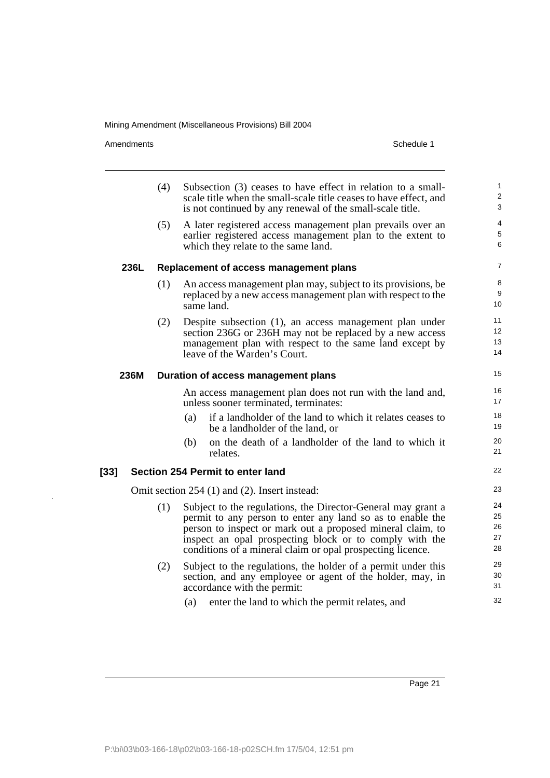Amendments Schedule 1

|      |      | (4) |                                  | Subsection (3) ceases to have effect in relation to a small-<br>scale title when the small-scale title ceases to have effect, and<br>is not continued by any renewal of the small-scale title.                                                                                                                    | $\mathbf{1}$<br>$\mathbf{2}$<br>3 |
|------|------|-----|----------------------------------|-------------------------------------------------------------------------------------------------------------------------------------------------------------------------------------------------------------------------------------------------------------------------------------------------------------------|-----------------------------------|
|      |      | (5) |                                  | A later registered access management plan prevails over an<br>earlier registered access management plan to the extent to<br>which they relate to the same land.                                                                                                                                                   | 4<br>$\sqrt{5}$<br>6              |
|      | 236L |     |                                  | Replacement of access management plans                                                                                                                                                                                                                                                                            | $\overline{7}$                    |
|      |      | (1) | same land.                       | An access management plan may, subject to its provisions, be<br>replaced by a new access management plan with respect to the                                                                                                                                                                                      | 8<br>9<br>10 <sup>°</sup>         |
|      |      | (2) | leave of the Warden's Court.     | Despite subsection (1), an access management plan under<br>section 236G or 236H may not be replaced by a new access<br>management plan with respect to the same land except by                                                                                                                                    | 11<br>12 <sup>2</sup><br>13<br>14 |
|      | 236M |     |                                  | Duration of access management plans                                                                                                                                                                                                                                                                               | 15                                |
|      |      |     |                                  | An access management plan does not run with the land and,<br>unless sooner terminated, terminates:                                                                                                                                                                                                                | 16<br>17                          |
|      |      |     | (a)                              | if a landholder of the land to which it relates ceases to<br>be a landholder of the land, or                                                                                                                                                                                                                      | 18<br>19                          |
|      |      |     | (b)<br>relates.                  | on the death of a landholder of the land to which it                                                                                                                                                                                                                                                              | 20<br>21                          |
| [33] |      |     | Section 254 Permit to enter land |                                                                                                                                                                                                                                                                                                                   | 22                                |
|      |      |     |                                  | Omit section 254 (1) and (2). Insert instead:                                                                                                                                                                                                                                                                     | 23                                |
|      |      | (1) |                                  | Subject to the regulations, the Director-General may grant a<br>permit to any person to enter any land so as to enable the<br>person to inspect or mark out a proposed mineral claim, to<br>inspect an opal prospecting block or to comply with the<br>conditions of a mineral claim or opal prospecting licence. | 24<br>25<br>26<br>27<br>28        |
|      |      | (2) | accordance with the permit:      | Subject to the regulations, the holder of a permit under this<br>section, and any employee or agent of the holder, may, in                                                                                                                                                                                        | 29<br>30<br>31<br>32              |
|      |      |     | (a)                              | enter the land to which the permit relates, and                                                                                                                                                                                                                                                                   |                                   |

(a) enter the land to which the permit relates, and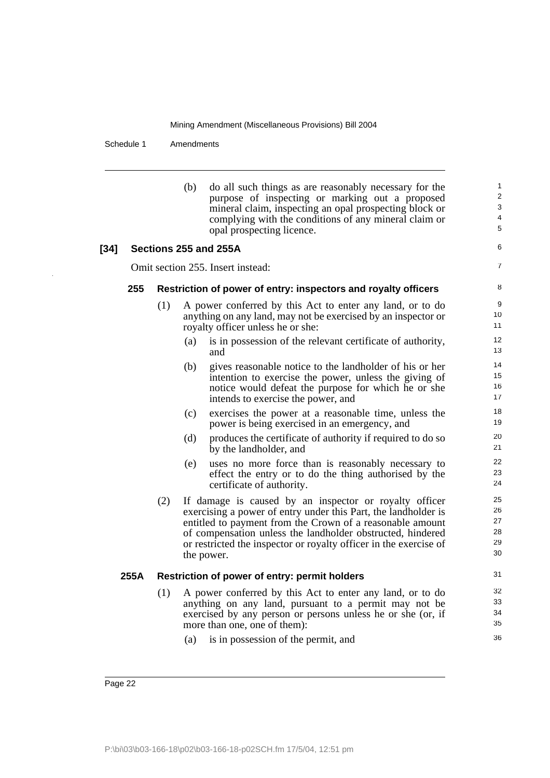Schedule 1 Amendments

| (b)<br>do all such things as are reasonably necessary for the<br>purpose of inspecting or marking out a proposed<br>mineral claim, inspecting an opal prospecting block or<br>complying with the conditions of any mineral claim or<br>opal prospecting licence.<br>[34]<br>Sections 255 and 255A<br>Omit section 255. Insert instead:<br>255<br>Restriction of power of entry: inspectors and royalty officers<br>(1)<br>A power conferred by this Act to enter any land, or to do<br>anything on any land, may not be exercised by an inspector or<br>royalty officer unless he or she:<br>(a)<br>is in possession of the relevant certificate of authority,<br>and<br>gives reasonable notice to the landholder of his or her<br>(b)<br>intention to exercise the power, unless the giving of<br>notice would defeat the purpose for which he or she<br>intends to exercise the power, and<br>exercises the power at a reasonable time, unless the<br>(c)<br>power is being exercised in an emergency, and<br>produces the certificate of authority if required to do so<br>(d)<br>by the landholder, and<br>uses no more force than is reasonably necessary to<br>(e)<br>effect the entry or to do the thing authorised by the<br>certificate of authority.<br>(2)<br>If damage is caused by an inspector or royalty officer<br>exercising a power of entry under this Part, the landholder is<br>entitled to payment from the Crown of a reasonable amount<br>of compensation unless the landholder obstructed, hindered<br>or restricted the inspector or royalty officer in the exercise of<br>the power.<br>255A<br>Restriction of power of entry: permit holders<br>(1)<br>A power conferred by this Act to enter any land, or to do<br>anything on any land, pursuant to a permit may not be<br>exercised by any person or persons unless he or she (or, if<br>more than one, one of them):<br>is in possession of the permit, and<br>(a) |  |                                    |
|-----------------------------------------------------------------------------------------------------------------------------------------------------------------------------------------------------------------------------------------------------------------------------------------------------------------------------------------------------------------------------------------------------------------------------------------------------------------------------------------------------------------------------------------------------------------------------------------------------------------------------------------------------------------------------------------------------------------------------------------------------------------------------------------------------------------------------------------------------------------------------------------------------------------------------------------------------------------------------------------------------------------------------------------------------------------------------------------------------------------------------------------------------------------------------------------------------------------------------------------------------------------------------------------------------------------------------------------------------------------------------------------------------------------------------------------------------------------------------------------------------------------------------------------------------------------------------------------------------------------------------------------------------------------------------------------------------------------------------------------------------------------------------------------------------------------------------------------------------------------------------------------------------------------------------------------------------|--|------------------------------------|
|                                                                                                                                                                                                                                                                                                                                                                                                                                                                                                                                                                                                                                                                                                                                                                                                                                                                                                                                                                                                                                                                                                                                                                                                                                                                                                                                                                                                                                                                                                                                                                                                                                                                                                                                                                                                                                                                                                                                                     |  | 1<br>$\overline{2}$<br>3<br>4<br>5 |
|                                                                                                                                                                                                                                                                                                                                                                                                                                                                                                                                                                                                                                                                                                                                                                                                                                                                                                                                                                                                                                                                                                                                                                                                                                                                                                                                                                                                                                                                                                                                                                                                                                                                                                                                                                                                                                                                                                                                                     |  | 6                                  |
|                                                                                                                                                                                                                                                                                                                                                                                                                                                                                                                                                                                                                                                                                                                                                                                                                                                                                                                                                                                                                                                                                                                                                                                                                                                                                                                                                                                                                                                                                                                                                                                                                                                                                                                                                                                                                                                                                                                                                     |  | $\overline{7}$                     |
|                                                                                                                                                                                                                                                                                                                                                                                                                                                                                                                                                                                                                                                                                                                                                                                                                                                                                                                                                                                                                                                                                                                                                                                                                                                                                                                                                                                                                                                                                                                                                                                                                                                                                                                                                                                                                                                                                                                                                     |  | 8                                  |
|                                                                                                                                                                                                                                                                                                                                                                                                                                                                                                                                                                                                                                                                                                                                                                                                                                                                                                                                                                                                                                                                                                                                                                                                                                                                                                                                                                                                                                                                                                                                                                                                                                                                                                                                                                                                                                                                                                                                                     |  | 9<br>10<br>11                      |
|                                                                                                                                                                                                                                                                                                                                                                                                                                                                                                                                                                                                                                                                                                                                                                                                                                                                                                                                                                                                                                                                                                                                                                                                                                                                                                                                                                                                                                                                                                                                                                                                                                                                                                                                                                                                                                                                                                                                                     |  | 12<br>13                           |
|                                                                                                                                                                                                                                                                                                                                                                                                                                                                                                                                                                                                                                                                                                                                                                                                                                                                                                                                                                                                                                                                                                                                                                                                                                                                                                                                                                                                                                                                                                                                                                                                                                                                                                                                                                                                                                                                                                                                                     |  | 14<br>15<br>16<br>17               |
|                                                                                                                                                                                                                                                                                                                                                                                                                                                                                                                                                                                                                                                                                                                                                                                                                                                                                                                                                                                                                                                                                                                                                                                                                                                                                                                                                                                                                                                                                                                                                                                                                                                                                                                                                                                                                                                                                                                                                     |  | 18<br>19                           |
|                                                                                                                                                                                                                                                                                                                                                                                                                                                                                                                                                                                                                                                                                                                                                                                                                                                                                                                                                                                                                                                                                                                                                                                                                                                                                                                                                                                                                                                                                                                                                                                                                                                                                                                                                                                                                                                                                                                                                     |  | 20<br>21                           |
|                                                                                                                                                                                                                                                                                                                                                                                                                                                                                                                                                                                                                                                                                                                                                                                                                                                                                                                                                                                                                                                                                                                                                                                                                                                                                                                                                                                                                                                                                                                                                                                                                                                                                                                                                                                                                                                                                                                                                     |  | 22<br>23<br>24                     |
|                                                                                                                                                                                                                                                                                                                                                                                                                                                                                                                                                                                                                                                                                                                                                                                                                                                                                                                                                                                                                                                                                                                                                                                                                                                                                                                                                                                                                                                                                                                                                                                                                                                                                                                                                                                                                                                                                                                                                     |  | 25<br>26<br>27<br>28<br>29<br>30   |
|                                                                                                                                                                                                                                                                                                                                                                                                                                                                                                                                                                                                                                                                                                                                                                                                                                                                                                                                                                                                                                                                                                                                                                                                                                                                                                                                                                                                                                                                                                                                                                                                                                                                                                                                                                                                                                                                                                                                                     |  | 31                                 |
|                                                                                                                                                                                                                                                                                                                                                                                                                                                                                                                                                                                                                                                                                                                                                                                                                                                                                                                                                                                                                                                                                                                                                                                                                                                                                                                                                                                                                                                                                                                                                                                                                                                                                                                                                                                                                                                                                                                                                     |  | 32<br>33<br>34<br>35               |
|                                                                                                                                                                                                                                                                                                                                                                                                                                                                                                                                                                                                                                                                                                                                                                                                                                                                                                                                                                                                                                                                                                                                                                                                                                                                                                                                                                                                                                                                                                                                                                                                                                                                                                                                                                                                                                                                                                                                                     |  | 36                                 |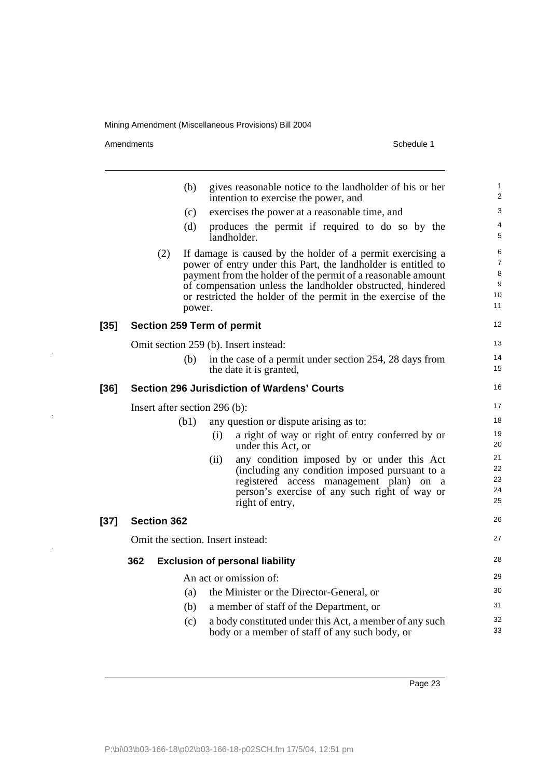Amendments Schedule 1

 $\bar{\beta}$ 

 $\frac{1}{2}$ 

 $\ddot{\phantom{a}}$ 

|        |                               | (b)    | gives reasonable notice to the landholder of his or her<br>intention to exercise the power, and                                                                                                                                                                                                                            | 1<br>$\overline{c}$          |
|--------|-------------------------------|--------|----------------------------------------------------------------------------------------------------------------------------------------------------------------------------------------------------------------------------------------------------------------------------------------------------------------------------|------------------------------|
|        |                               | (c)    | exercises the power at a reasonable time, and                                                                                                                                                                                                                                                                              | 3                            |
|        |                               | (d)    | produces the permit if required to do so by the<br>landholder.                                                                                                                                                                                                                                                             | 4<br>5                       |
|        | (2)                           | power. | If damage is caused by the holder of a permit exercising a<br>power of entry under this Part, the landholder is entitled to<br>payment from the holder of the permit of a reasonable amount<br>of compensation unless the landholder obstructed, hindered<br>or restricted the holder of the permit in the exercise of the | 6<br>7<br>8<br>9<br>10<br>11 |
| $[35]$ |                               |        | <b>Section 259 Term of permit</b>                                                                                                                                                                                                                                                                                          | 12                           |
|        |                               |        | Omit section 259 (b). Insert instead:                                                                                                                                                                                                                                                                                      | 13                           |
|        |                               | (b)    | in the case of a permit under section 254, 28 days from<br>the date it is granted,                                                                                                                                                                                                                                         | 14<br>15                     |
| $[36]$ |                               |        | <b>Section 296 Jurisdiction of Wardens' Courts</b>                                                                                                                                                                                                                                                                         | 16                           |
|        | Insert after section 296 (b): |        |                                                                                                                                                                                                                                                                                                                            | 17                           |
|        |                               | (b1)   | any question or dispute arising as to:                                                                                                                                                                                                                                                                                     | 18                           |
|        |                               |        | (i)<br>a right of way or right of entry conferred by or<br>under this Act, or                                                                                                                                                                                                                                              | 19<br>20                     |
|        |                               |        | (ii)<br>any condition imposed by or under this Act<br>(including any condition imposed pursuant to a<br>registered access management plan) on a<br>person's exercise of any such right of way or<br>right of entry,                                                                                                        | 21<br>22<br>23<br>24<br>25   |
| $[37]$ | <b>Section 362</b>            |        |                                                                                                                                                                                                                                                                                                                            | 26                           |
|        |                               |        | Omit the section. Insert instead:                                                                                                                                                                                                                                                                                          | 27                           |
|        | 362                           |        | <b>Exclusion of personal liability</b>                                                                                                                                                                                                                                                                                     | 28                           |
|        |                               |        | An act or omission of:                                                                                                                                                                                                                                                                                                     | 29                           |
|        |                               | (a)    | the Minister or the Director-General, or                                                                                                                                                                                                                                                                                   | 30                           |
|        |                               | (b)    | a member of staff of the Department, or                                                                                                                                                                                                                                                                                    | 31                           |
|        |                               | (c)    | a body constituted under this Act, a member of any such<br>body or a member of staff of any such body, or                                                                                                                                                                                                                  | 32<br>33                     |
|        |                               |        |                                                                                                                                                                                                                                                                                                                            |                              |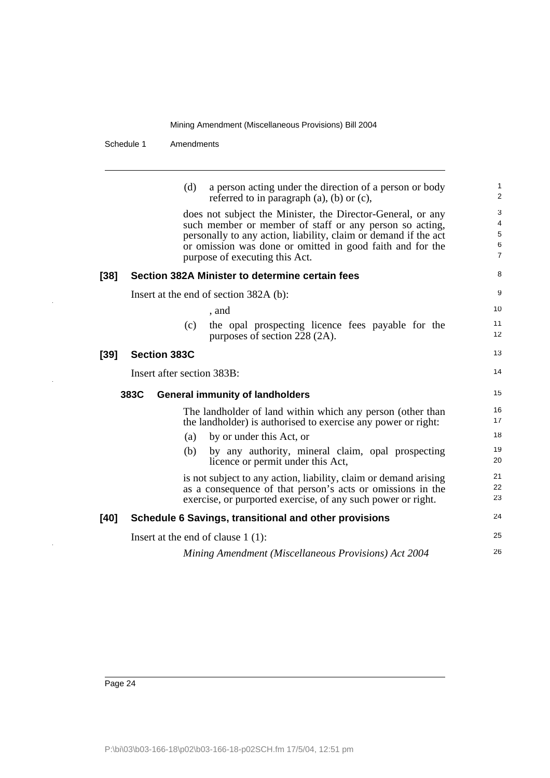Schedule 1 Amendments

 $\frac{1}{2}$ 

 $\hat{\boldsymbol{\gamma}}$ 

 $\ddot{\phantom{0}}$ 

|      | a person acting under the direction of a person or body<br>(d)<br>referred to in paragraph $(a)$ , $(b)$ or $(c)$ ,                                                                                                                                                                      | $\mathbf{1}$<br>$\overline{2}$                                                     |
|------|------------------------------------------------------------------------------------------------------------------------------------------------------------------------------------------------------------------------------------------------------------------------------------------|------------------------------------------------------------------------------------|
|      | does not subject the Minister, the Director-General, or any<br>such member or member of staff or any person so acting,<br>personally to any action, liability, claim or demand if the act<br>or omission was done or omitted in good faith and for the<br>purpose of executing this Act. | $\mathbf{3}$<br>$\overline{\mathbf{4}}$<br>$\sqrt{5}$<br>$\,6\,$<br>$\overline{7}$ |
| [38] | Section 382A Minister to determine certain fees                                                                                                                                                                                                                                          | 8                                                                                  |
|      | Insert at the end of section 382A (b):                                                                                                                                                                                                                                                   | 9                                                                                  |
|      | , and                                                                                                                                                                                                                                                                                    | 10                                                                                 |
|      | the opal prospecting licence fees payable for the<br>(c)<br>purposes of section 228 (2A).                                                                                                                                                                                                | 11<br>12                                                                           |
| [39] | <b>Section 383C</b>                                                                                                                                                                                                                                                                      | 13                                                                                 |
|      | <b>Insert after section 383B:</b>                                                                                                                                                                                                                                                        | 14                                                                                 |
|      | 383C<br><b>General immunity of landholders</b>                                                                                                                                                                                                                                           | 15                                                                                 |
|      | The landholder of land within which any person (other than<br>the landholder) is authorised to exercise any power or right:                                                                                                                                                              | 16<br>17                                                                           |
|      | by or under this Act, or<br>(a)                                                                                                                                                                                                                                                          | 18                                                                                 |
|      | by any authority, mineral claim, opal prospecting<br>(b)<br>licence or permit under this Act,                                                                                                                                                                                            | 19<br>20                                                                           |
|      | is not subject to any action, liability, claim or demand arising<br>as a consequence of that person's acts or omissions in the<br>exercise, or purported exercise, of any such power or right.                                                                                           | 21<br>22<br>23                                                                     |
| [40] | Schedule 6 Savings, transitional and other provisions                                                                                                                                                                                                                                    | 24                                                                                 |
|      | Insert at the end of clause $1(1)$ :                                                                                                                                                                                                                                                     | 25                                                                                 |
|      | <b>Mining Amendment (Miscellaneous Provisions) Act 2004</b>                                                                                                                                                                                                                              | 26                                                                                 |
|      |                                                                                                                                                                                                                                                                                          |                                                                                    |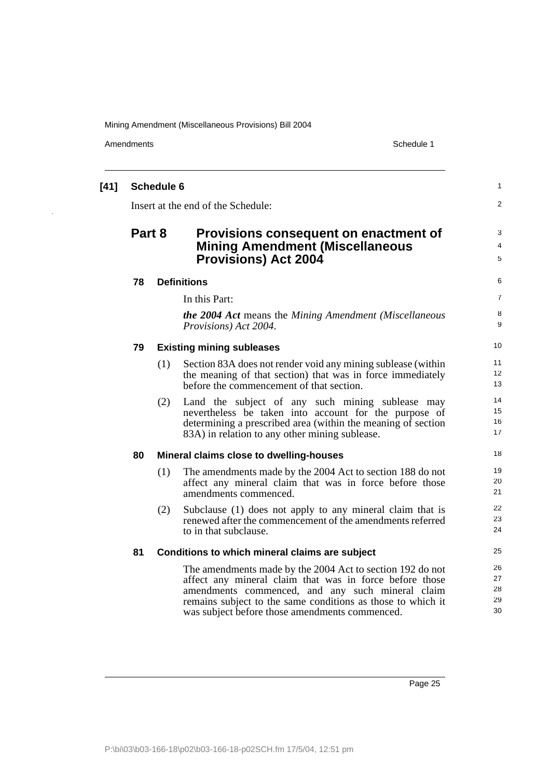Amendments Schedule 1

 $\ddot{\phantom{1}}$ 

| [41] |        | <b>Schedule 6</b> |                                                                                                                                                                                                                                                                                           | 1                          |
|------|--------|-------------------|-------------------------------------------------------------------------------------------------------------------------------------------------------------------------------------------------------------------------------------------------------------------------------------------|----------------------------|
|      |        |                   | Insert at the end of the Schedule:                                                                                                                                                                                                                                                        | $\overline{2}$             |
|      | Part 8 |                   | Provisions consequent on enactment of<br><b>Mining Amendment (Miscellaneous</b><br><b>Provisions) Act 2004</b>                                                                                                                                                                            | 3<br>4<br>5                |
|      | 78     |                   | <b>Definitions</b>                                                                                                                                                                                                                                                                        | 6                          |
|      |        |                   | In this Part:                                                                                                                                                                                                                                                                             | $\overline{7}$             |
|      |        |                   | <b>the 2004 Act means the Mining Amendment (Miscellaneous</b><br>Provisions) Act 2004.                                                                                                                                                                                                    | 8<br>9                     |
|      | 79     |                   | <b>Existing mining subleases</b>                                                                                                                                                                                                                                                          | 10                         |
|      |        | (1)               | Section 83A does not render void any mining sublease (within<br>the meaning of that section) that was in force immediately<br>before the commencement of that section.                                                                                                                    | 11<br>12<br>13             |
|      |        | (2)               | Land the subject of any such mining sublease may<br>nevertheless be taken into account for the purpose of<br>determining a prescribed area (within the meaning of section<br>83A) in relation to any other mining sublease.                                                               | 14<br>15<br>16<br>17       |
|      | 80     |                   | Mineral claims close to dwelling-houses                                                                                                                                                                                                                                                   | 18                         |
|      |        | (1)               | The amendments made by the 2004 Act to section 188 do not<br>affect any mineral claim that was in force before those<br>amendments commenced.                                                                                                                                             | 19<br>20<br>21             |
|      |        | (2)               | Subclause (1) does not apply to any mineral claim that is<br>renewed after the commencement of the amendments referred<br>to in that subclause.                                                                                                                                           | 22<br>23<br>24             |
|      | 81     |                   | Conditions to which mineral claims are subject                                                                                                                                                                                                                                            | 25                         |
|      |        |                   | The amendments made by the 2004 Act to section 192 do not<br>affect any mineral claim that was in force before those<br>amendments commenced, and any such mineral claim<br>remains subject to the same conditions as those to which it<br>was subject before those amendments commenced. | 26<br>27<br>28<br>29<br>30 |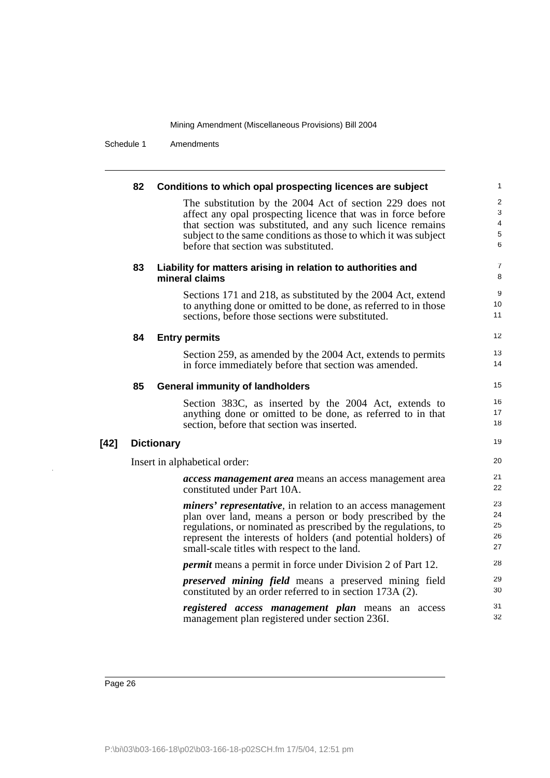Schedule 1 Amendments

|        | 82                            | Conditions to which opal prospecting licences are subject                                                                                                                                                                                                                                                          | $\mathbf{1}$                                                                     |
|--------|-------------------------------|--------------------------------------------------------------------------------------------------------------------------------------------------------------------------------------------------------------------------------------------------------------------------------------------------------------------|----------------------------------------------------------------------------------|
|        |                               | The substitution by the 2004 Act of section 229 does not<br>affect any opal prospecting licence that was in force before<br>that section was substituted, and any such licence remains<br>subject to the same conditions as those to which it was subject<br>before that section was substituted.                  | $\overline{2}$<br>$\ensuremath{\mathsf{3}}$<br>$\overline{\mathbf{4}}$<br>5<br>6 |
|        | 83                            | Liability for matters arising in relation to authorities and<br>mineral claims                                                                                                                                                                                                                                     | 7<br>8                                                                           |
|        |                               | Sections 171 and 218, as substituted by the 2004 Act, extend<br>to anything done or omitted to be done, as referred to in those<br>sections, before those sections were substituted.                                                                                                                               | 9<br>10<br>11                                                                    |
|        | 84                            | <b>Entry permits</b>                                                                                                                                                                                                                                                                                               | 12                                                                               |
|        |                               | Section 259, as amended by the 2004 Act, extends to permits<br>in force immediately before that section was amended.                                                                                                                                                                                               | 13<br>14                                                                         |
|        | 85                            | <b>General immunity of landholders</b>                                                                                                                                                                                                                                                                             | 15                                                                               |
|        |                               | Section 383C, as inserted by the 2004 Act, extends to<br>anything done or omitted to be done, as referred to in that<br>section, before that section was inserted.                                                                                                                                                 | 16<br>17<br>18                                                                   |
| $[42]$ | <b>Dictionary</b>             |                                                                                                                                                                                                                                                                                                                    |                                                                                  |
|        | Insert in alphabetical order: |                                                                                                                                                                                                                                                                                                                    |                                                                                  |
|        |                               | <i>access management area</i> means an access management area<br>constituted under Part 10A.                                                                                                                                                                                                                       | 21<br>22                                                                         |
|        |                               | <i>miners' representative</i> , in relation to an access management<br>plan over land, means a person or body prescribed by the<br>regulations, or nominated as prescribed by the regulations, to<br>represent the interests of holders (and potential holders) of<br>small-scale titles with respect to the land. | 23<br>24<br>25<br>26<br>27                                                       |
|        |                               | <i>permit</i> means a permit in force under Division 2 of Part 12.                                                                                                                                                                                                                                                 | 28                                                                               |
|        |                               | <i>preserved mining field</i> means a preserved mining field<br>constituted by an order referred to in section 173A (2).                                                                                                                                                                                           | 29<br>30                                                                         |
|        |                               | registered access management plan means an access<br>management plan registered under section 236I.                                                                                                                                                                                                                | 31<br>32                                                                         |

 $\ddot{\phantom{a}}$